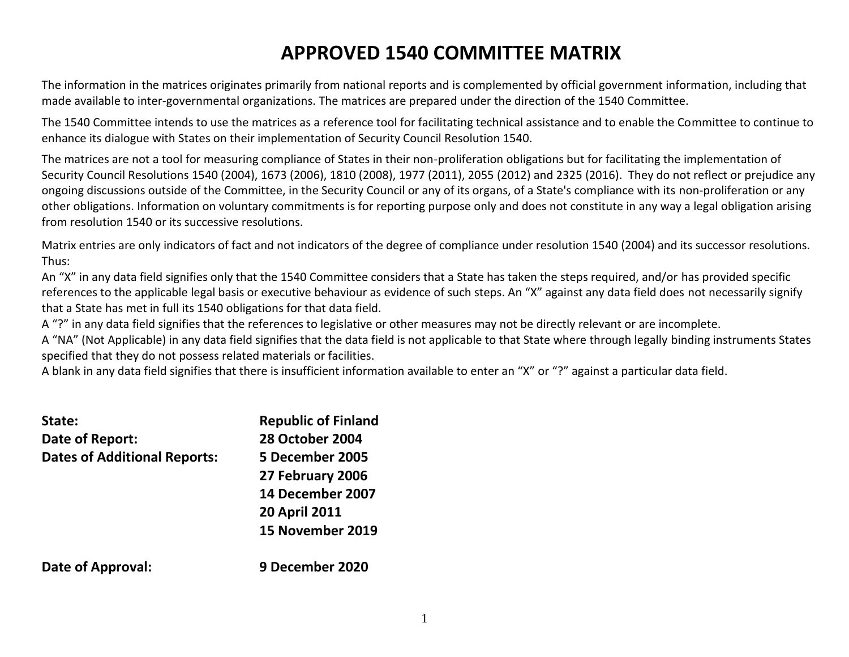# **APPROVED 1540 COMMITTEE MATRIX**

The information in the matrices originates primarily from national reports and is complemented by official government information, including that made available to inter-governmental organizations. The matrices are prepared under the direction of the 1540 Committee.

The 1540 Committee intends to use the matrices as a reference tool for facilitating technical assistance and to enable the Committee to continue to enhance its dialogue with States on their implementation of Security Council Resolution 1540.

The matrices are not a tool for measuring compliance of States in their non-proliferation obligations but for facilitating the implementation of Security Council Resolutions 1540 (2004), 1673 (2006), 1810 (2008), 1977 (2011), 2055 (2012) and 2325 (2016). They do not reflect or prejudice any ongoing discussions outside of the Committee, in the Security Council or any of its organs, of a State's compliance with its non-proliferation or any other obligations. Information on voluntary commitments is for reporting purpose only and does not constitute in any way a legal obligation arising from resolution 1540 or its successive resolutions.

Matrix entries are only indicators of fact and not indicators of the degree of compliance under resolution 1540 (2004) and its successor resolutions. Thus:

An "X" in any data field signifies only that the 1540 Committee considers that a State has taken the steps required, and/or has provided specific references to the applicable legal basis or executive behaviour as evidence of such steps. An "X" against any data field does not necessarily signify that a State has met in full its 1540 obligations for that data field.

A "?" in any data field signifies that the references to legislative or other measures may not be directly relevant or are incomplete.

A "NA" (Not Applicable) in any data field signifies that the data field is not applicable to that State where through legally binding instruments States specified that they do not possess related materials or facilities.

A blank in any data field signifies that there is insufficient information available to enter an "X" or "?" against a particular data field.

| State:<br>Date of Report:           | <b>Republic of Finland</b><br><b>28 October 2004</b> |
|-------------------------------------|------------------------------------------------------|
| <b>Dates of Additional Reports:</b> | 5 December 2005                                      |
|                                     | 27 February 2006                                     |
|                                     | 14 December 2007                                     |
|                                     | <b>20 April 2011</b>                                 |
|                                     | 15 November 2019                                     |
| <b>Date of Approval:</b>            | 9 December 2020                                      |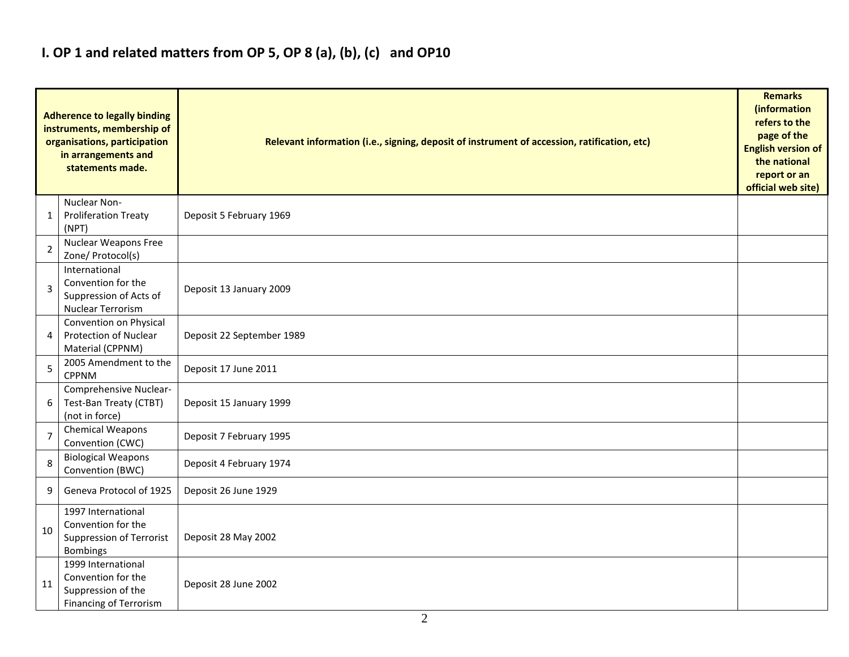## **I. OP 1 and related matters from OP 5, OP 8 (a), (b), (c) and OP10**

|                | <b>Adherence to legally binding</b><br>instruments, membership of<br>organisations, participation<br>in arrangements and<br>statements made. | Relevant information (i.e., signing, deposit of instrument of accession, ratification, etc) |  |  |  |  |  |  |  |  |
|----------------|----------------------------------------------------------------------------------------------------------------------------------------------|---------------------------------------------------------------------------------------------|--|--|--|--|--|--|--|--|
| 1              | Nuclear Non-<br><b>Proliferation Treaty</b><br>(NPT)                                                                                         | Deposit 5 February 1969                                                                     |  |  |  |  |  |  |  |  |
| $\overline{2}$ | Nuclear Weapons Free<br>Zone/ Protocol(s)                                                                                                    |                                                                                             |  |  |  |  |  |  |  |  |
| 3              | International<br>Convention for the<br>Suppression of Acts of<br>Nuclear Terrorism                                                           | Deposit 13 January 2009                                                                     |  |  |  |  |  |  |  |  |
| 4              | Convention on Physical<br><b>Protection of Nuclear</b><br>Material (CPPNM)                                                                   | Deposit 22 September 1989                                                                   |  |  |  |  |  |  |  |  |
| 5              | 2005 Amendment to the<br><b>CPPNM</b>                                                                                                        | Deposit 17 June 2011                                                                        |  |  |  |  |  |  |  |  |
| 6              | Comprehensive Nuclear-<br>Test-Ban Treaty (CTBT)<br>(not in force)                                                                           | Deposit 15 January 1999                                                                     |  |  |  |  |  |  |  |  |
| $\overline{7}$ | Chemical Weapons<br>Convention (CWC)                                                                                                         | Deposit 7 February 1995                                                                     |  |  |  |  |  |  |  |  |
| 8              | <b>Biological Weapons</b><br>Convention (BWC)                                                                                                | Deposit 4 February 1974                                                                     |  |  |  |  |  |  |  |  |
| 9              | Geneva Protocol of 1925                                                                                                                      | Deposit 26 June 1929                                                                        |  |  |  |  |  |  |  |  |
| 10             | 1997 International<br>Convention for the<br>Suppression of Terrorist<br>Bombings                                                             | Deposit 28 May 2002                                                                         |  |  |  |  |  |  |  |  |
| 11             | 1999 International<br>Convention for the<br>Suppression of the<br>Financing of Terrorism                                                     | Deposit 28 June 2002                                                                        |  |  |  |  |  |  |  |  |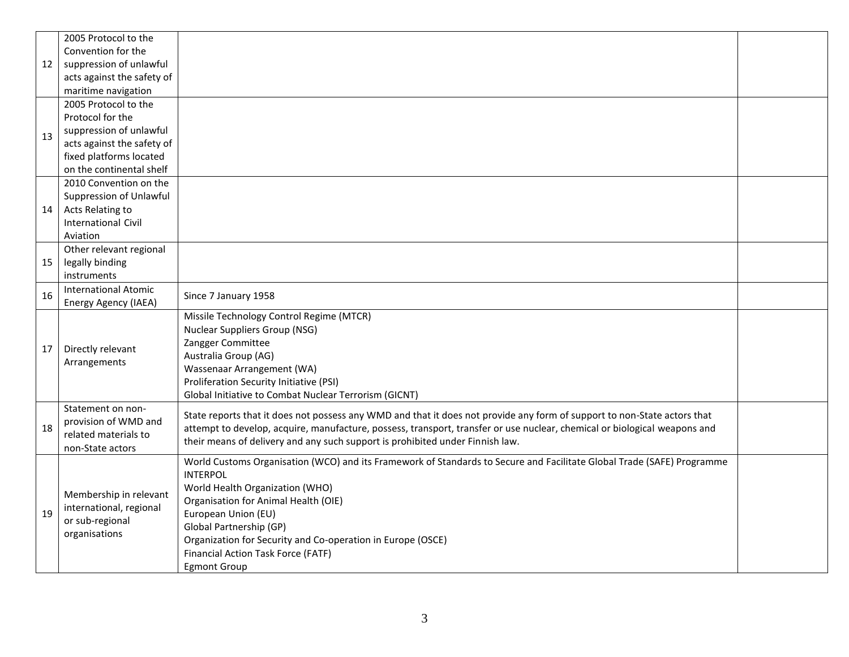|    | 2005 Protocol to the        |                                                                                                                                           |  |
|----|-----------------------------|-------------------------------------------------------------------------------------------------------------------------------------------|--|
|    | Convention for the          |                                                                                                                                           |  |
| 12 | suppression of unlawful     |                                                                                                                                           |  |
|    | acts against the safety of  |                                                                                                                                           |  |
|    | maritime navigation         |                                                                                                                                           |  |
|    | 2005 Protocol to the        |                                                                                                                                           |  |
|    | Protocol for the            |                                                                                                                                           |  |
| 13 | suppression of unlawful     |                                                                                                                                           |  |
|    | acts against the safety of  |                                                                                                                                           |  |
|    | fixed platforms located     |                                                                                                                                           |  |
|    | on the continental shelf    |                                                                                                                                           |  |
|    | 2010 Convention on the      |                                                                                                                                           |  |
|    | Suppression of Unlawful     |                                                                                                                                           |  |
| 14 | Acts Relating to            |                                                                                                                                           |  |
|    | <b>International Civil</b>  |                                                                                                                                           |  |
|    | Aviation                    |                                                                                                                                           |  |
|    | Other relevant regional     |                                                                                                                                           |  |
| 15 | legally binding             |                                                                                                                                           |  |
|    | instruments                 |                                                                                                                                           |  |
| 16 | <b>International Atomic</b> | Since 7 January 1958                                                                                                                      |  |
|    | Energy Agency (IAEA)        |                                                                                                                                           |  |
|    |                             | Missile Technology Control Regime (MTCR)                                                                                                  |  |
|    |                             | <b>Nuclear Suppliers Group (NSG)</b>                                                                                                      |  |
| 17 | Directly relevant           | Zangger Committee                                                                                                                         |  |
|    | Arrangements                | Australia Group (AG)                                                                                                                      |  |
|    |                             | Wassenaar Arrangement (WA)                                                                                                                |  |
|    |                             | Proliferation Security Initiative (PSI)                                                                                                   |  |
|    |                             | Global Initiative to Combat Nuclear Terrorism (GICNT)                                                                                     |  |
|    | Statement on non-           | State reports that it does not possess any WMD and that it does not provide any form of support to non-State actors that                  |  |
| 18 | provision of WMD and        | attempt to develop, acquire, manufacture, possess, transport, transfer or use nuclear, chemical or biological weapons and                 |  |
|    | related materials to        | their means of delivery and any such support is prohibited under Finnish law.                                                             |  |
|    | non-State actors            |                                                                                                                                           |  |
|    |                             | World Customs Organisation (WCO) and its Framework of Standards to Secure and Facilitate Global Trade (SAFE) Programme<br><b>INTERPOL</b> |  |
|    |                             |                                                                                                                                           |  |
|    | Membership in relevant      | World Health Organization (WHO)                                                                                                           |  |
|    | international, regional     | Organisation for Animal Health (OIE)                                                                                                      |  |
| 19 | or sub-regional             | European Union (EU)                                                                                                                       |  |
|    | organisations               | Global Partnership (GP)                                                                                                                   |  |
|    |                             | Organization for Security and Co-operation in Europe (OSCE)                                                                               |  |
|    |                             | Financial Action Task Force (FATF)                                                                                                        |  |
|    |                             | <b>Egmont Group</b>                                                                                                                       |  |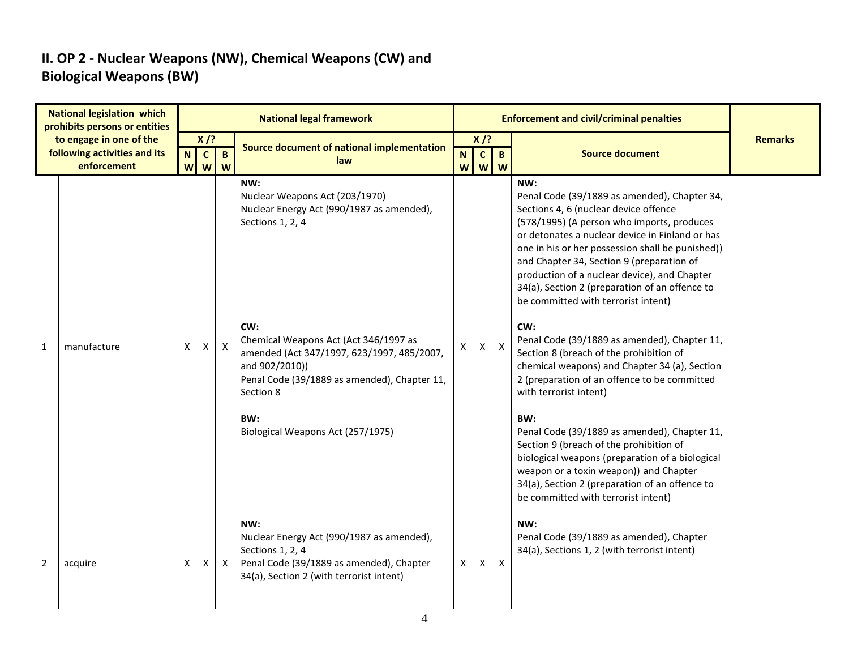## **II. OP 2 - Nuclear Weapons (NW), Chemical Weapons (CW) and Biological Weapons (BW)**

|   | <b>National legislation which</b><br>prohibits persons or entities |             |                        |              | <b>National legal framework</b>                                                                                                                                                                                                                                                                                                 |   |                           |              |                                                                                                                                                                                                                                                                                                                                                                                                                                                                                                                                                                                                                                                                                                                                                                                                                                                                                                                                                              |                |
|---|--------------------------------------------------------------------|-------------|------------------------|--------------|---------------------------------------------------------------------------------------------------------------------------------------------------------------------------------------------------------------------------------------------------------------------------------------------------------------------------------|---|---------------------------|--------------|--------------------------------------------------------------------------------------------------------------------------------------------------------------------------------------------------------------------------------------------------------------------------------------------------------------------------------------------------------------------------------------------------------------------------------------------------------------------------------------------------------------------------------------------------------------------------------------------------------------------------------------------------------------------------------------------------------------------------------------------------------------------------------------------------------------------------------------------------------------------------------------------------------------------------------------------------------------|----------------|
|   | to engage in one of the<br>following activities and its            | $\mathbf N$ | $X$ /?<br>$\mathbf{C}$ | $\mathbf{B}$ | Source document of national implementation                                                                                                                                                                                                                                                                                      | N | $X$ /?<br>$\mathbf c$     | $\mathbf{B}$ | <b>Source document</b>                                                                                                                                                                                                                                                                                                                                                                                                                                                                                                                                                                                                                                                                                                                                                                                                                                                                                                                                       | <b>Remarks</b> |
|   | enforcement                                                        | W           | W                      | W            | law                                                                                                                                                                                                                                                                                                                             | W | $\boldsymbol{\mathsf{W}}$ | W            |                                                                                                                                                                                                                                                                                                                                                                                                                                                                                                                                                                                                                                                                                                                                                                                                                                                                                                                                                              |                |
| 1 | manufacture                                                        | X           | X                      | $\mathsf{X}$ | NW:<br>Nuclear Weapons Act (203/1970)<br>Nuclear Energy Act (990/1987 as amended),<br>Sections 1, 2, 4<br>CW:<br>Chemical Weapons Act (Act 346/1997 as<br>amended (Act 347/1997, 623/1997, 485/2007,<br>and 902/2010))<br>Penal Code (39/1889 as amended), Chapter 11,<br>Section 8<br>BW:<br>Biological Weapons Act (257/1975) |   | $\mathsf{X}$              | $\mathsf{x}$ | NW:<br>Penal Code (39/1889 as amended), Chapter 34,<br>Sections 4, 6 (nuclear device offence<br>(578/1995) (A person who imports, produces<br>or detonates a nuclear device in Finland or has<br>one in his or her possession shall be punished))<br>and Chapter 34, Section 9 (preparation of<br>production of a nuclear device), and Chapter<br>34(a), Section 2 (preparation of an offence to<br>be committed with terrorist intent)<br>CW:<br>Penal Code (39/1889 as amended), Chapter 11,<br>Section 8 (breach of the prohibition of<br>chemical weapons) and Chapter 34 (a), Section<br>2 (preparation of an offence to be committed<br>with terrorist intent)<br>BW:<br>Penal Code (39/1889 as amended), Chapter 11,<br>Section 9 (breach of the prohibition of<br>biological weapons (preparation of a biological<br>weapon or a toxin weapon)) and Chapter<br>34(a), Section 2 (preparation of an offence to<br>be committed with terrorist intent) |                |
| 2 | acquire                                                            | Χ           | X                      | X            | NW:<br>Nuclear Energy Act (990/1987 as amended),<br>Sections 1, 2, 4<br>Penal Code (39/1889 as amended), Chapter<br>34(a), Section 2 (with terrorist intent)                                                                                                                                                                    | X | X                         | X            | NW:<br>Penal Code (39/1889 as amended), Chapter<br>34(a), Sections 1, 2 (with terrorist intent)                                                                                                                                                                                                                                                                                                                                                                                                                                                                                                                                                                                                                                                                                                                                                                                                                                                              |                |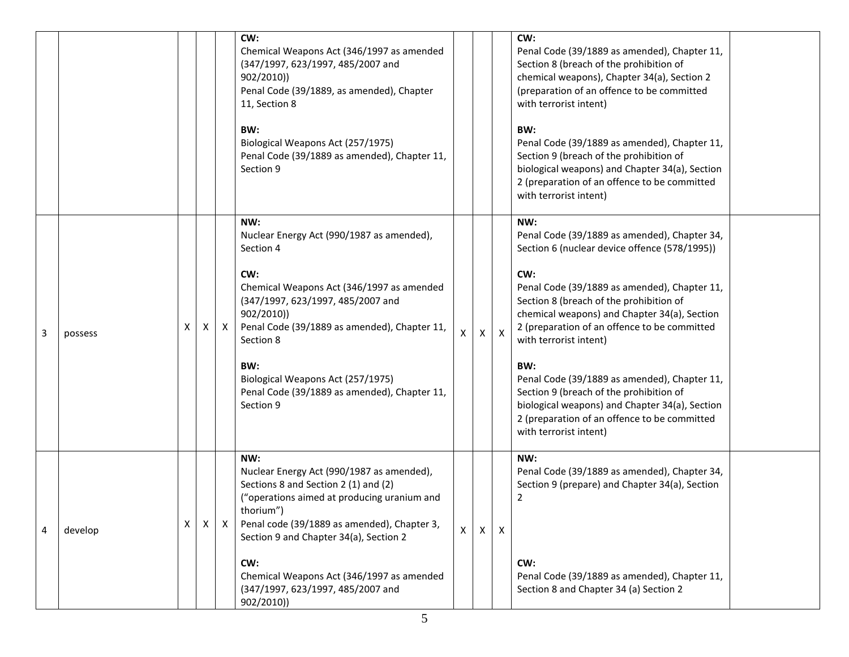|   |         |   |   |              | CW:<br>Chemical Weapons Act (346/1997 as amended<br>(347/1997, 623/1997, 485/2007 and<br>902/2010)<br>Penal Code (39/1889, as amended), Chapter<br>11, Section 8<br>BW:<br>Biological Weapons Act (257/1975)<br>Penal Code (39/1889 as amended), Chapter 11,<br>Section 9                                                                            |   |   |              | CW:<br>Penal Code (39/1889 as amended), Chapter 11,<br>Section 8 (breach of the prohibition of<br>chemical weapons), Chapter 34(a), Section 2<br>(preparation of an offence to be committed<br>with terrorist intent)<br>BW:<br>Penal Code (39/1889 as amended), Chapter 11,<br>Section 9 (breach of the prohibition of<br>biological weapons) and Chapter 34(a), Section<br>2 (preparation of an offence to be committed<br>with terrorist intent)                                                                                                            |  |
|---|---------|---|---|--------------|------------------------------------------------------------------------------------------------------------------------------------------------------------------------------------------------------------------------------------------------------------------------------------------------------------------------------------------------------|---|---|--------------|----------------------------------------------------------------------------------------------------------------------------------------------------------------------------------------------------------------------------------------------------------------------------------------------------------------------------------------------------------------------------------------------------------------------------------------------------------------------------------------------------------------------------------------------------------------|--|
| 3 | possess | x | X | $\mathsf{X}$ | NW:<br>Nuclear Energy Act (990/1987 as amended),<br>Section 4<br>CW:<br>Chemical Weapons Act (346/1997 as amended<br>(347/1997, 623/1997, 485/2007 and<br>902/2010))<br>Penal Code (39/1889 as amended), Chapter 11,<br>Section 8<br>BW:<br>Biological Weapons Act (257/1975)<br>Penal Code (39/1889 as amended), Chapter 11,<br>Section 9           | X | X | $\mathsf{X}$ | NW:<br>Penal Code (39/1889 as amended), Chapter 34,<br>Section 6 (nuclear device offence (578/1995))<br>CW:<br>Penal Code (39/1889 as amended), Chapter 11,<br>Section 8 (breach of the prohibition of<br>chemical weapons) and Chapter 34(a), Section<br>2 (preparation of an offence to be committed<br>with terrorist intent)<br>BW:<br>Penal Code (39/1889 as amended), Chapter 11,<br>Section 9 (breach of the prohibition of<br>biological weapons) and Chapter 34(a), Section<br>2 (preparation of an offence to be committed<br>with terrorist intent) |  |
| 4 | develop | X | X | X            | NW:<br>Nuclear Energy Act (990/1987 as amended),<br>Sections 8 and Section 2 (1) and (2)<br>("operations aimed at producing uranium and<br>thorium")<br>Penal code (39/1889 as amended), Chapter 3,<br>Section 9 and Chapter 34(a), Section 2<br>CW:<br>Chemical Weapons Act (346/1997 as amended<br>(347/1997, 623/1997, 485/2007 and<br>902/2010)) | X | Χ | X            | NW:<br>Penal Code (39/1889 as amended), Chapter 34,<br>Section 9 (prepare) and Chapter 34(a), Section<br>2<br>CW:<br>Penal Code (39/1889 as amended), Chapter 11,<br>Section 8 and Chapter 34 (a) Section 2                                                                                                                                                                                                                                                                                                                                                    |  |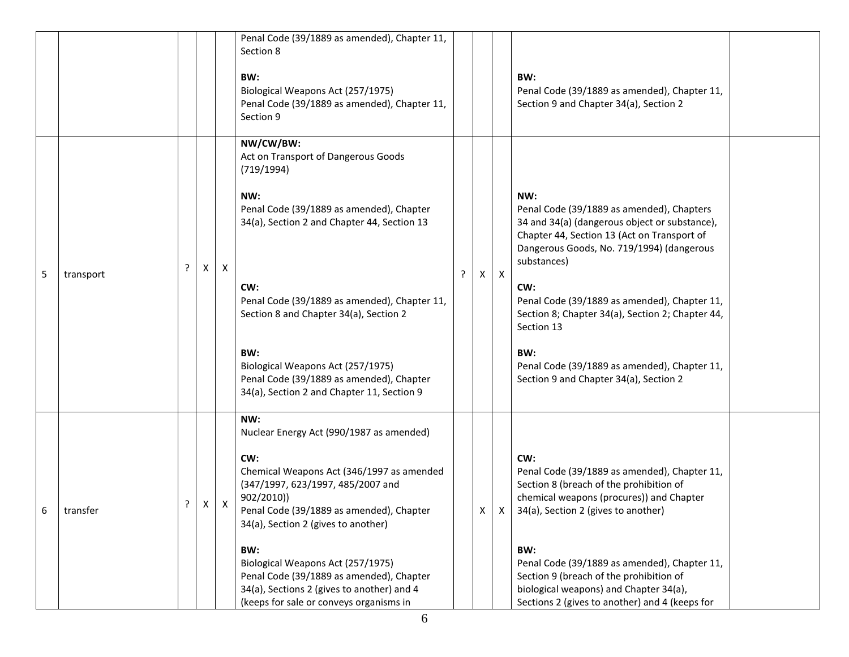|   |           |   |   |   | Penal Code (39/1889 as amended), Chapter 11,<br>Section 8<br>BW:<br>Biological Weapons Act (257/1975)<br>Penal Code (39/1889 as amended), Chapter 11,<br>Section 9                                                                                                                                                                                                                                                        |   |   |                  | BW:<br>Penal Code (39/1889 as amended), Chapter 11,<br>Section 9 and Chapter 34(a), Section 2                                                                                                                                                                                                                                                                                                                                          |  |
|---|-----------|---|---|---|---------------------------------------------------------------------------------------------------------------------------------------------------------------------------------------------------------------------------------------------------------------------------------------------------------------------------------------------------------------------------------------------------------------------------|---|---|------------------|----------------------------------------------------------------------------------------------------------------------------------------------------------------------------------------------------------------------------------------------------------------------------------------------------------------------------------------------------------------------------------------------------------------------------------------|--|
| 5 | transport | ? | X | X | NW/CW/BW:<br>Act on Transport of Dangerous Goods<br>(719/1994)<br>NW:<br>Penal Code (39/1889 as amended), Chapter<br>34(a), Section 2 and Chapter 44, Section 13<br>CW:<br>Penal Code (39/1889 as amended), Chapter 11,<br>Section 8 and Chapter 34(a), Section 2<br>BW:<br>Biological Weapons Act (257/1975)<br>Penal Code (39/1889 as amended), Chapter<br>34(a), Section 2 and Chapter 11, Section 9                   | ς | Χ | $\boldsymbol{X}$ | NW:<br>Penal Code (39/1889 as amended), Chapters<br>34 and 34(a) (dangerous object or substance),<br>Chapter 44, Section 13 (Act on Transport of<br>Dangerous Goods, No. 719/1994) (dangerous<br>substances)<br>CW:<br>Penal Code (39/1889 as amended), Chapter 11,<br>Section 8; Chapter 34(a), Section 2; Chapter 44,<br>Section 13<br>BW:<br>Penal Code (39/1889 as amended), Chapter 11,<br>Section 9 and Chapter 34(a), Section 2 |  |
| 6 | transfer  | ŗ | Χ | x | NW:<br>Nuclear Energy Act (990/1987 as amended)<br>CW:<br>Chemical Weapons Act (346/1997 as amended<br>(347/1997, 623/1997, 485/2007 and<br>902/2010)<br>Penal Code (39/1889 as amended), Chapter<br>34(a), Section 2 (gives to another)<br>BW:<br>Biological Weapons Act (257/1975)<br>Penal Code (39/1889 as amended), Chapter<br>34(a), Sections 2 (gives to another) and 4<br>(keeps for sale or conveys organisms in |   | X | X.               | CW:<br>Penal Code (39/1889 as amended), Chapter 11,<br>Section 8 (breach of the prohibition of<br>chemical weapons (procures)) and Chapter<br>34(a), Section 2 (gives to another)<br>BW:<br>Penal Code (39/1889 as amended), Chapter 11,<br>Section 9 (breach of the prohibition of<br>biological weapons) and Chapter 34(a),<br>Sections 2 (gives to another) and 4 (keeps for                                                        |  |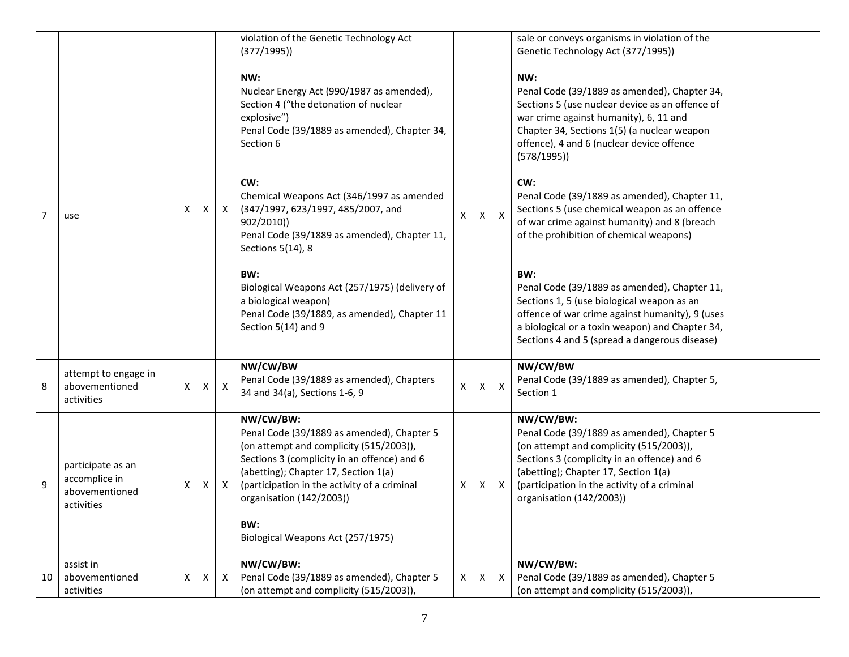|    |                                                                    |   |   |              | violation of the Genetic Technology Act<br>(377/1995)                                                                                                                                                                                                                                                             |   |              |              | sale or conveys organisms in violation of the<br>Genetic Technology Act (377/1995))                                                                                                                                                                                   |
|----|--------------------------------------------------------------------|---|---|--------------|-------------------------------------------------------------------------------------------------------------------------------------------------------------------------------------------------------------------------------------------------------------------------------------------------------------------|---|--------------|--------------|-----------------------------------------------------------------------------------------------------------------------------------------------------------------------------------------------------------------------------------------------------------------------|
|    |                                                                    |   |   |              | NW:<br>Nuclear Energy Act (990/1987 as amended),<br>Section 4 ("the detonation of nuclear<br>explosive")<br>Penal Code (39/1889 as amended), Chapter 34,<br>Section 6                                                                                                                                             |   |              |              | NW:<br>Penal Code (39/1889 as amended), Chapter 34,<br>Sections 5 (use nuclear device as an offence of<br>war crime against humanity), 6, 11 and<br>Chapter 34, Sections 1(5) (a nuclear weapon<br>offence), 4 and 6 (nuclear device offence<br>(578/1995)            |
| 7  | use                                                                | X | X | $\mathsf{X}$ | CW:<br>Chemical Weapons Act (346/1997 as amended<br>(347/1997, 623/1997, 485/2007, and<br>902/2010)<br>Penal Code (39/1889 as amended), Chapter 11,<br>Sections 5(14), 8                                                                                                                                          | X | $\mathsf{X}$ | $\mathsf{X}$ | CW:<br>Penal Code (39/1889 as amended), Chapter 11,<br>Sections 5 (use chemical weapon as an offence<br>of war crime against humanity) and 8 (breach<br>of the prohibition of chemical weapons)                                                                       |
|    |                                                                    |   |   |              | BW:<br>Biological Weapons Act (257/1975) (delivery of<br>a biological weapon)<br>Penal Code (39/1889, as amended), Chapter 11<br>Section 5(14) and 9                                                                                                                                                              |   |              |              | BW:<br>Penal Code (39/1889 as amended), Chapter 11,<br>Sections 1, 5 (use biological weapon as an<br>offence of war crime against humanity), 9 (uses<br>a biological or a toxin weapon) and Chapter 34,<br>Sections 4 and 5 (spread a dangerous disease)              |
| 8  | attempt to engage in<br>abovementioned<br>activities               | X | X | X            | NW/CW/BW<br>Penal Code (39/1889 as amended), Chapters<br>34 and 34(a), Sections 1-6, 9                                                                                                                                                                                                                            | X | $\mathsf{X}$ | $\mathsf{X}$ | NW/CW/BW<br>Penal Code (39/1889 as amended), Chapter 5,<br>Section 1                                                                                                                                                                                                  |
| 9  | participate as an<br>accomplice in<br>abovementioned<br>activities | х | X | $\mathsf{X}$ | NW/CW/BW:<br>Penal Code (39/1889 as amended), Chapter 5<br>(on attempt and complicity (515/2003)),<br>Sections 3 (complicity in an offence) and 6<br>(abetting); Chapter 17, Section 1(a)<br>(participation in the activity of a criminal<br>organisation (142/2003))<br>BW:<br>Biological Weapons Act (257/1975) | Χ | X            | $\mathsf{x}$ | NW/CW/BW:<br>Penal Code (39/1889 as amended), Chapter 5<br>(on attempt and complicity (515/2003)),<br>Sections 3 (complicity in an offence) and 6<br>(abetting); Chapter 17, Section 1(a)<br>(participation in the activity of a criminal<br>organisation (142/2003)) |
| 10 | assist in<br>abovementioned<br>activities                          | X | X | Χ            | NW/CW/BW:<br>Penal Code (39/1889 as amended), Chapter 5<br>(on attempt and complicity (515/2003)),                                                                                                                                                                                                                | Χ | X            | X            | NW/CW/BW:<br>Penal Code (39/1889 as amended), Chapter 5<br>(on attempt and complicity (515/2003)),                                                                                                                                                                    |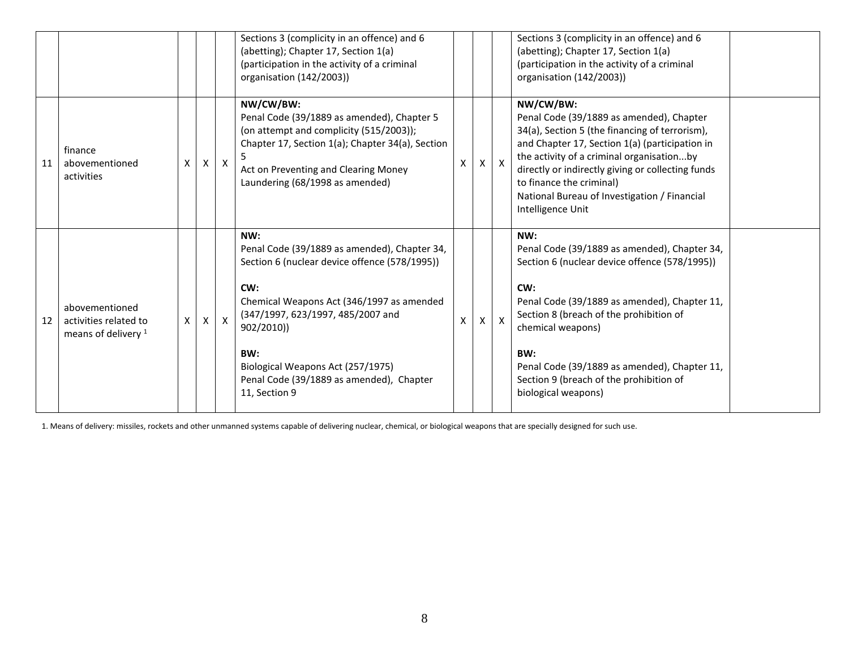|    |                                                                  |   |   |              | Sections 3 (complicity in an offence) and 6<br>(abetting); Chapter 17, Section 1(a)<br>(participation in the activity of a criminal<br>organisation (142/2003))                                                                                                                                                      |   |    |              | Sections 3 (complicity in an offence) and 6<br>(abetting); Chapter 17, Section 1(a)<br>(participation in the activity of a criminal<br>organisation (142/2003))                                                                                                                                                                                              |  |
|----|------------------------------------------------------------------|---|---|--------------|----------------------------------------------------------------------------------------------------------------------------------------------------------------------------------------------------------------------------------------------------------------------------------------------------------------------|---|----|--------------|--------------------------------------------------------------------------------------------------------------------------------------------------------------------------------------------------------------------------------------------------------------------------------------------------------------------------------------------------------------|--|
| 11 | finance<br>abovementioned<br>activities                          | X | Χ | $\mathsf{X}$ | NW/CW/BW:<br>Penal Code (39/1889 as amended), Chapter 5<br>(on attempt and complicity (515/2003));<br>Chapter 17, Section 1(a); Chapter 34(a), Section<br>Act on Preventing and Clearing Money<br>Laundering (68/1998 as amended)                                                                                    | x | X. | $\mathsf{X}$ | NW/CW/BW:<br>Penal Code (39/1889 as amended), Chapter<br>34(a), Section 5 (the financing of terrorism),<br>and Chapter 17, Section 1(a) (participation in<br>the activity of a criminal organisationby<br>directly or indirectly giving or collecting funds<br>to finance the criminal)<br>National Bureau of Investigation / Financial<br>Intelligence Unit |  |
| 12 | abovementioned<br>activities related to<br>means of delivery $1$ | X | X | $\mathsf{X}$ | NW:<br>Penal Code (39/1889 as amended), Chapter 34,<br>Section 6 (nuclear device offence (578/1995))<br>CW:<br>Chemical Weapons Act (346/1997 as amended<br>(347/1997, 623/1997, 485/2007 and<br>902/2010))<br>BW:<br>Biological Weapons Act (257/1975)<br>Penal Code (39/1889 as amended), Chapter<br>11, Section 9 |   | X  | $\mathsf{X}$ | NW:<br>Penal Code (39/1889 as amended), Chapter 34,<br>Section 6 (nuclear device offence (578/1995))<br>CW:<br>Penal Code (39/1889 as amended), Chapter 11,<br>Section 8 (breach of the prohibition of<br>chemical weapons)<br>BW:<br>Penal Code (39/1889 as amended), Chapter 11,<br>Section 9 (breach of the prohibition of<br>biological weapons)         |  |

1. Means of delivery: missiles, rockets and other unmanned systems capable of delivering nuclear, chemical, or biological weapons that are specially designed for such use.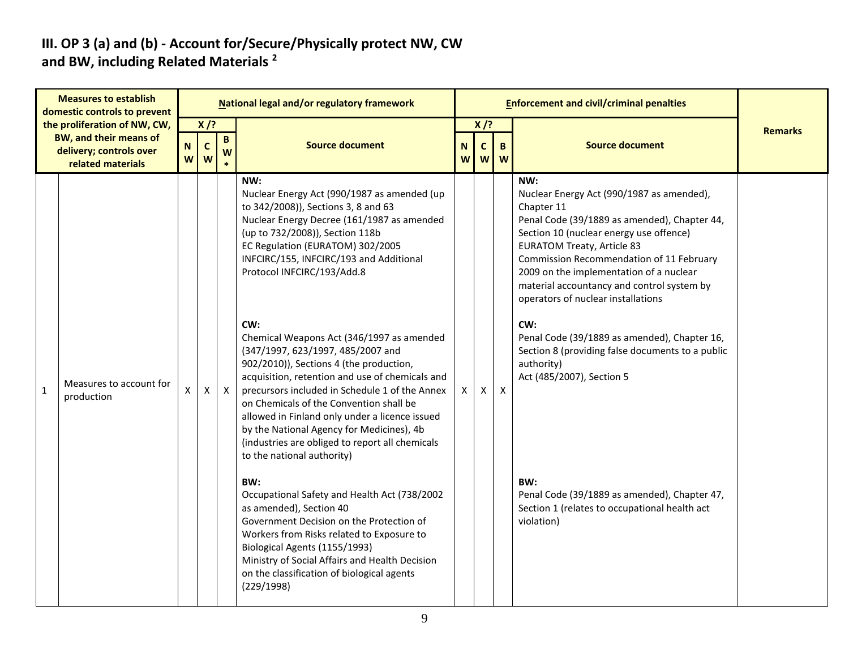#### **III. OP 3 (a) and (b) - Account for/Secure/Physically protect NW, CW and BW, including Related Materials <sup>2</sup>**

| <b>Measures to establish</b><br>domestic controls to prevent |                                                                                                               |                |                  |                   | National legal and/or regulatory framework                                                                                                                                                                                                                                                                                                                                                                                                                                                                                                                                                                                                                                                                                                                                                                                                                                                                                                                                                                                                                                            |               |                             |        | <b>Enforcement and civil/criminal penalties</b>                                                                                                                                                                                                                                                                                                                                                                                                                                                                                                                                                                                                       |                |
|--------------------------------------------------------------|---------------------------------------------------------------------------------------------------------------|----------------|------------------|-------------------|---------------------------------------------------------------------------------------------------------------------------------------------------------------------------------------------------------------------------------------------------------------------------------------------------------------------------------------------------------------------------------------------------------------------------------------------------------------------------------------------------------------------------------------------------------------------------------------------------------------------------------------------------------------------------------------------------------------------------------------------------------------------------------------------------------------------------------------------------------------------------------------------------------------------------------------------------------------------------------------------------------------------------------------------------------------------------------------|---------------|-----------------------------|--------|-------------------------------------------------------------------------------------------------------------------------------------------------------------------------------------------------------------------------------------------------------------------------------------------------------------------------------------------------------------------------------------------------------------------------------------------------------------------------------------------------------------------------------------------------------------------------------------------------------------------------------------------------------|----------------|
|                                                              | the proliferation of NW, CW,<br><b>BW, and their means of</b><br>delivery; controls over<br>related materials | ${\bf N}$<br>W | $X$ /?<br>C<br>W | $\mathbf{B}$<br>W | <b>Source document</b>                                                                                                                                                                                                                                                                                                                                                                                                                                                                                                                                                                                                                                                                                                                                                                                                                                                                                                                                                                                                                                                                | N<br><b>W</b> | $X$ /?<br>$\mathsf{C}$<br>W | B<br>W | <b>Source document</b>                                                                                                                                                                                                                                                                                                                                                                                                                                                                                                                                                                                                                                | <b>Remarks</b> |
| $\mathbf{1}$                                                 | Measures to account for<br>production                                                                         | X              | X                | $\mathsf{X}$      | NW:<br>Nuclear Energy Act (990/1987 as amended (up<br>to 342/2008)), Sections 3, 8 and 63<br>Nuclear Energy Decree (161/1987 as amended<br>(up to 732/2008)), Section 118b<br>EC Regulation (EURATOM) 302/2005<br>INFCIRC/155, INFCIRC/193 and Additional<br>Protocol INFCIRC/193/Add.8<br>CW:<br>Chemical Weapons Act (346/1997 as amended<br>(347/1997, 623/1997, 485/2007 and<br>902/2010)), Sections 4 (the production,<br>acquisition, retention and use of chemicals and<br>precursors included in Schedule 1 of the Annex<br>on Chemicals of the Convention shall be<br>allowed in Finland only under a licence issued<br>by the National Agency for Medicines), 4b<br>(industries are obliged to report all chemicals<br>to the national authority)<br>BW:<br>Occupational Safety and Health Act (738/2002<br>as amended), Section 40<br>Government Decision on the Protection of<br>Workers from Risks related to Exposure to<br>Biological Agents (1155/1993)<br>Ministry of Social Affairs and Health Decision<br>on the classification of biological agents<br>(229/1998) | X             | X                           | X      | NW:<br>Nuclear Energy Act (990/1987 as amended),<br>Chapter 11<br>Penal Code (39/1889 as amended), Chapter 44,<br>Section 10 (nuclear energy use offence)<br><b>EURATOM Treaty, Article 83</b><br>Commission Recommendation of 11 February<br>2009 on the implementation of a nuclear<br>material accountancy and control system by<br>operators of nuclear installations<br>CW:<br>Penal Code (39/1889 as amended), Chapter 16,<br>Section 8 (providing false documents to a public<br>authority)<br>Act (485/2007), Section 5<br>BW:<br>Penal Code (39/1889 as amended), Chapter 47,<br>Section 1 (relates to occupational health act<br>violation) |                |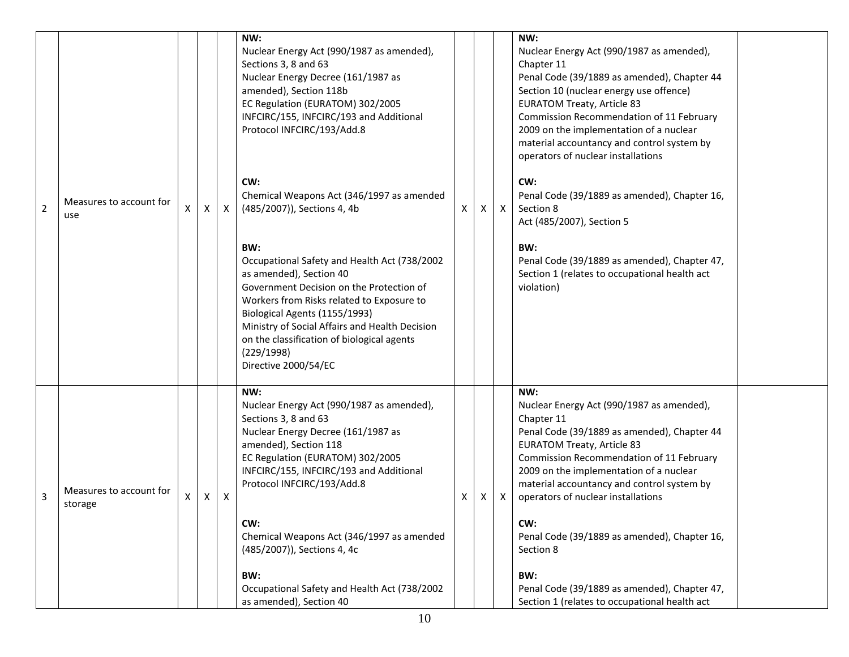| $\overline{2}$ | Measures to account for<br>use     | X | Χ | $\mathsf{X}$ | NW:<br>Nuclear Energy Act (990/1987 as amended),<br>Sections 3, 8 and 63<br>Nuclear Energy Decree (161/1987 as<br>amended), Section 118b<br>EC Regulation (EURATOM) 302/2005<br>INFCIRC/155, INFCIRC/193 and Additional<br>Protocol INFCIRC/193/Add.8<br>CW:<br>Chemical Weapons Act (346/1997 as amended<br>(485/2007)), Sections 4, 4b<br>BW:<br>Occupational Safety and Health Act (738/2002<br>as amended), Section 40 | X | X | $\mathsf{X}$              | NW:<br>Nuclear Energy Act (990/1987 as amended),<br>Chapter 11<br>Penal Code (39/1889 as amended), Chapter 44<br>Section 10 (nuclear energy use offence)<br><b>EURATOM Treaty, Article 83</b><br>Commission Recommendation of 11 February<br>2009 on the implementation of a nuclear<br>material accountancy and control system by<br>operators of nuclear installations<br>CW:<br>Penal Code (39/1889 as amended), Chapter 16,<br>Section 8<br>Act (485/2007), Section 5<br>BW:<br>Penal Code (39/1889 as amended), Chapter 47,<br>Section 1 (relates to occupational health act |  |
|----------------|------------------------------------|---|---|--------------|----------------------------------------------------------------------------------------------------------------------------------------------------------------------------------------------------------------------------------------------------------------------------------------------------------------------------------------------------------------------------------------------------------------------------|---|---|---------------------------|-----------------------------------------------------------------------------------------------------------------------------------------------------------------------------------------------------------------------------------------------------------------------------------------------------------------------------------------------------------------------------------------------------------------------------------------------------------------------------------------------------------------------------------------------------------------------------------|--|
|                |                                    |   |   |              | Government Decision on the Protection of<br>Workers from Risks related to Exposure to<br>Biological Agents (1155/1993)<br>Ministry of Social Affairs and Health Decision<br>on the classification of biological agents<br>(229/1998)<br>Directive 2000/54/EC                                                                                                                                                               |   |   |                           | violation)                                                                                                                                                                                                                                                                                                                                                                                                                                                                                                                                                                        |  |
| 3              | Measures to account for<br>storage | X | Χ | $\mathsf{X}$ | NW:<br>Nuclear Energy Act (990/1987 as amended),<br>Sections 3, 8 and 63<br>Nuclear Energy Decree (161/1987 as<br>amended), Section 118<br>EC Regulation (EURATOM) 302/2005<br>INFCIRC/155, INFCIRC/193 and Additional<br>Protocol INFCIRC/193/Add.8                                                                                                                                                                       | Χ | X | $\boldsymbol{\mathsf{X}}$ | NW:<br>Nuclear Energy Act (990/1987 as amended),<br>Chapter 11<br>Penal Code (39/1889 as amended), Chapter 44<br><b>EURATOM Treaty, Article 83</b><br>Commission Recommendation of 11 February<br>2009 on the implementation of a nuclear<br>material accountancy and control system by<br>operators of nuclear installations                                                                                                                                                                                                                                                     |  |
|                |                                    |   |   |              | CW:<br>Chemical Weapons Act (346/1997 as amended<br>(485/2007)), Sections 4, 4c<br>BW:                                                                                                                                                                                                                                                                                                                                     |   |   |                           | CW:<br>Penal Code (39/1889 as amended), Chapter 16,<br>Section 8<br>BW:                                                                                                                                                                                                                                                                                                                                                                                                                                                                                                           |  |
|                |                                    |   |   |              | Occupational Safety and Health Act (738/2002<br>as amended), Section 40                                                                                                                                                                                                                                                                                                                                                    |   |   |                           | Penal Code (39/1889 as amended), Chapter 47,<br>Section 1 (relates to occupational health act                                                                                                                                                                                                                                                                                                                                                                                                                                                                                     |  |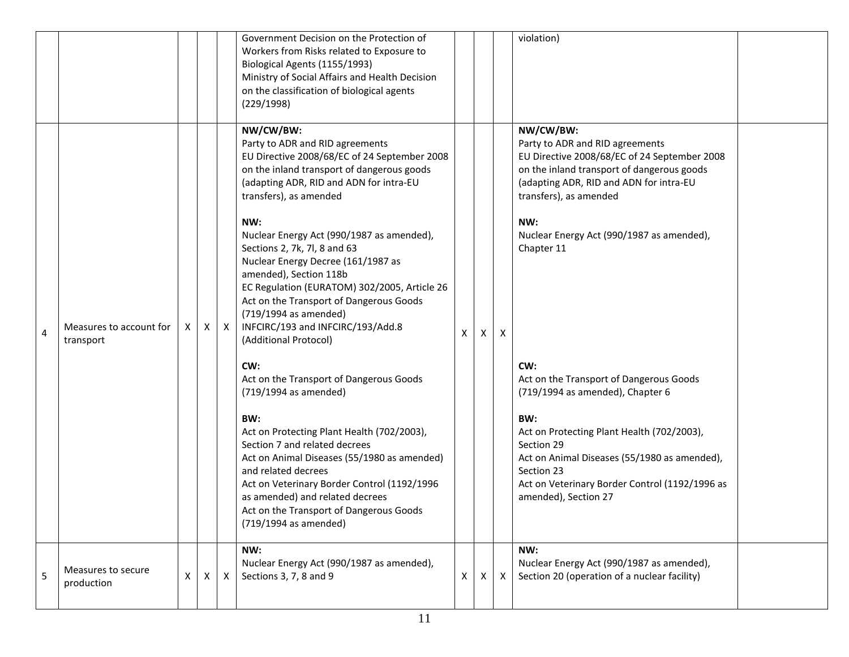|   |                                      |          |   |              | Government Decision on the Protection of<br>Workers from Risks related to Exposure to<br>Biological Agents (1155/1993)<br>Ministry of Social Affairs and Health Decision<br>on the classification of biological agents<br>(229/1998)                                                                                                                                                                                                                                                                                                                                                                                             |   |   |              | violation)                                                                                                                                                                                                                                                                                                                                                              |
|---|--------------------------------------|----------|---|--------------|----------------------------------------------------------------------------------------------------------------------------------------------------------------------------------------------------------------------------------------------------------------------------------------------------------------------------------------------------------------------------------------------------------------------------------------------------------------------------------------------------------------------------------------------------------------------------------------------------------------------------------|---|---|--------------|-------------------------------------------------------------------------------------------------------------------------------------------------------------------------------------------------------------------------------------------------------------------------------------------------------------------------------------------------------------------------|
| 4 | Measures to account for<br>transport | X        | X | $\mathsf{X}$ | NW/CW/BW:<br>Party to ADR and RID agreements<br>EU Directive 2008/68/EC of 24 September 2008<br>on the inland transport of dangerous goods<br>(adapting ADR, RID and ADN for intra-EU<br>transfers), as amended<br>NW:<br>Nuclear Energy Act (990/1987 as amended),<br>Sections 2, 7k, 7l, 8 and 63<br>Nuclear Energy Decree (161/1987 as<br>amended), Section 118b<br>EC Regulation (EURATOM) 302/2005, Article 26<br>Act on the Transport of Dangerous Goods<br>(719/1994 as amended)<br>INFCIRC/193 and INFCIRC/193/Add.8<br>(Additional Protocol)<br>CW:<br>Act on the Transport of Dangerous Goods<br>(719/1994 as amended) | X | X | $\mathsf{X}$ | NW/CW/BW:<br>Party to ADR and RID agreements<br>EU Directive 2008/68/EC of 24 September 2008<br>on the inland transport of dangerous goods<br>(adapting ADR, RID and ADN for intra-EU<br>transfers), as amended<br>NW:<br>Nuclear Energy Act (990/1987 as amended),<br>Chapter 11<br>CW:<br>Act on the Transport of Dangerous Goods<br>(719/1994 as amended), Chapter 6 |
|   |                                      |          |   |              | BW:<br>Act on Protecting Plant Health (702/2003),<br>Section 7 and related decrees<br>Act on Animal Diseases (55/1980 as amended)<br>and related decrees<br>Act on Veterinary Border Control (1192/1996<br>as amended) and related decrees<br>Act on the Transport of Dangerous Goods<br>(719/1994 as amended)                                                                                                                                                                                                                                                                                                                   |   |   |              | BW:<br>Act on Protecting Plant Health (702/2003),<br>Section 29<br>Act on Animal Diseases (55/1980 as amended),<br>Section 23<br>Act on Veterinary Border Control (1192/1996 as<br>amended), Section 27                                                                                                                                                                 |
| 5 | Measures to secure<br>production     | $\times$ | X | $\mathsf{X}$ | NW:<br>Nuclear Energy Act (990/1987 as amended),<br>Sections 3, 7, 8 and 9                                                                                                                                                                                                                                                                                                                                                                                                                                                                                                                                                       | X | X | $\mathsf{X}$ | NW:<br>Nuclear Energy Act (990/1987 as amended),<br>Section 20 (operation of a nuclear facility)                                                                                                                                                                                                                                                                        |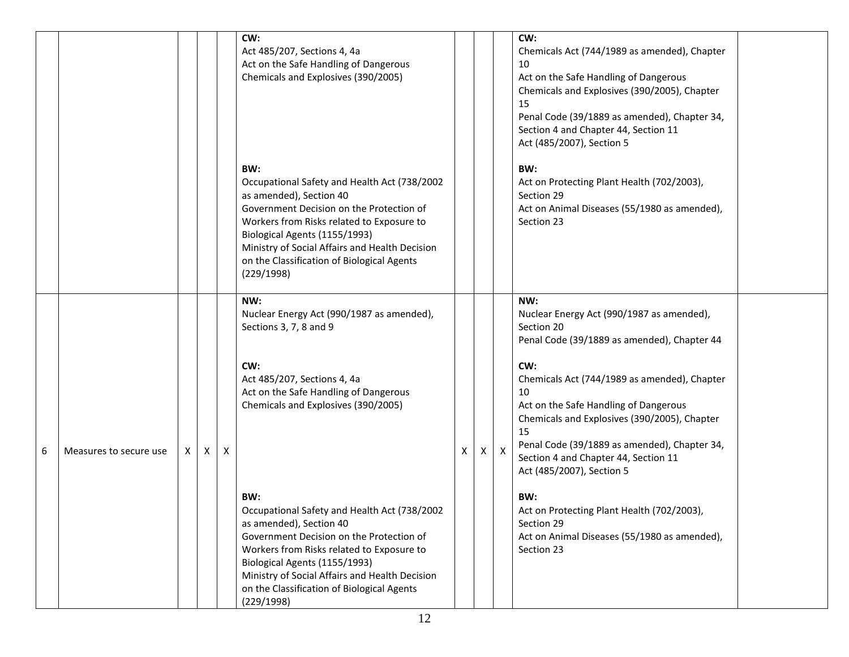|   |                        |    |   |                           | CW:<br>Act 485/207, Sections 4, 4a<br>Act on the Safe Handling of Dangerous<br>Chemicals and Explosives (390/2005)<br>BW:<br>Occupational Safety and Health Act (738/2002<br>as amended), Section 40<br>Government Decision on the Protection of<br>Workers from Risks related to Exposure to<br>Biological Agents (1155/1993)<br>Ministry of Social Affairs and Health Decision<br>on the Classification of Biological Agents<br>(229/1998)                                                                               |   |              |              | CW:<br>Chemicals Act (744/1989 as amended), Chapter<br>10<br>Act on the Safe Handling of Dangerous<br>Chemicals and Explosives (390/2005), Chapter<br>15<br>Penal Code (39/1889 as amended), Chapter 34,<br>Section 4 and Chapter 44, Section 11<br>Act (485/2007), Section 5<br>BW:<br>Act on Protecting Plant Health (702/2003),<br>Section 29<br>Act on Animal Diseases (55/1980 as amended),<br>Section 23                                                                                                                  |  |
|---|------------------------|----|---|---------------------------|----------------------------------------------------------------------------------------------------------------------------------------------------------------------------------------------------------------------------------------------------------------------------------------------------------------------------------------------------------------------------------------------------------------------------------------------------------------------------------------------------------------------------|---|--------------|--------------|---------------------------------------------------------------------------------------------------------------------------------------------------------------------------------------------------------------------------------------------------------------------------------------------------------------------------------------------------------------------------------------------------------------------------------------------------------------------------------------------------------------------------------|--|
| 6 | Measures to secure use | X. | X | $\boldsymbol{\mathsf{X}}$ | NW:<br>Nuclear Energy Act (990/1987 as amended),<br>Sections 3, 7, 8 and 9<br>CW:<br>Act 485/207, Sections 4, 4a<br>Act on the Safe Handling of Dangerous<br>Chemicals and Explosives (390/2005)<br>BW:<br>Occupational Safety and Health Act (738/2002<br>as amended), Section 40<br>Government Decision on the Protection of<br>Workers from Risks related to Exposure to<br>Biological Agents (1155/1993)<br>Ministry of Social Affairs and Health Decision<br>on the Classification of Biological Agents<br>(229/1998) | x | $\mathsf{X}$ | $\mathsf{x}$ | NW:<br>Nuclear Energy Act (990/1987 as amended),<br>Section 20<br>Penal Code (39/1889 as amended), Chapter 44<br>CW:<br>Chemicals Act (744/1989 as amended), Chapter<br>10<br>Act on the Safe Handling of Dangerous<br>Chemicals and Explosives (390/2005), Chapter<br>15<br>Penal Code (39/1889 as amended), Chapter 34,<br>Section 4 and Chapter 44, Section 11<br>Act (485/2007), Section 5<br>BW:<br>Act on Protecting Plant Health (702/2003),<br>Section 29<br>Act on Animal Diseases (55/1980 as amended),<br>Section 23 |  |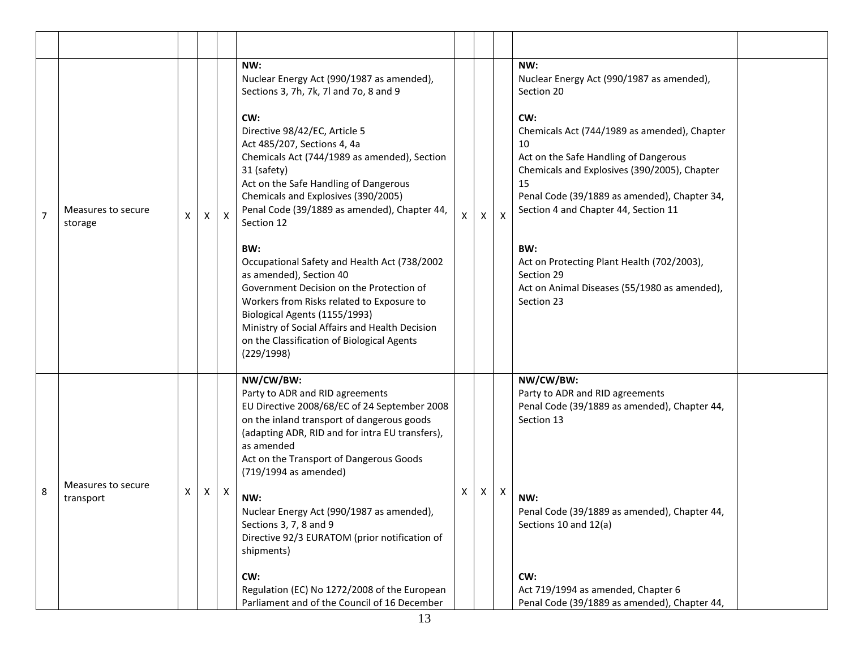|                |                                 |   |              |                           | NW:<br>Nuclear Energy Act (990/1987 as amended),<br>Sections 3, 7h, 7k, 7l and 7o, 8 and 9                                                                                                                                                                                                                             |   |              |              | NW:<br>Nuclear Energy Act (990/1987 as amended),<br>Section 20                                                                                                                                                                                   |  |
|----------------|---------------------------------|---|--------------|---------------------------|------------------------------------------------------------------------------------------------------------------------------------------------------------------------------------------------------------------------------------------------------------------------------------------------------------------------|---|--------------|--------------|--------------------------------------------------------------------------------------------------------------------------------------------------------------------------------------------------------------------------------------------------|--|
| $\overline{7}$ | Measures to secure<br>storage   | X | X            | $\mathsf{X}$              | CW:<br>Directive 98/42/EC, Article 5<br>Act 485/207, Sections 4, 4a<br>Chemicals Act (744/1989 as amended), Section<br>31 (safety)<br>Act on the Safe Handling of Dangerous<br>Chemicals and Explosives (390/2005)<br>Penal Code (39/1889 as amended), Chapter 44,<br>Section 12                                       | X | X            | $\mathsf{X}$ | CW:<br>Chemicals Act (744/1989 as amended), Chapter<br>10<br>Act on the Safe Handling of Dangerous<br>Chemicals and Explosives (390/2005), Chapter<br>15<br>Penal Code (39/1889 as amended), Chapter 34,<br>Section 4 and Chapter 44, Section 11 |  |
|                |                                 |   |              |                           | BW:<br>Occupational Safety and Health Act (738/2002<br>as amended), Section 40<br>Government Decision on the Protection of<br>Workers from Risks related to Exposure to<br>Biological Agents (1155/1993)<br>Ministry of Social Affairs and Health Decision<br>on the Classification of Biological Agents<br>(229/1998) |   |              |              | BW:<br>Act on Protecting Plant Health (702/2003),<br>Section 29<br>Act on Animal Diseases (55/1980 as amended),<br>Section 23                                                                                                                    |  |
|                |                                 |   |              |                           | NW/CW/BW:<br>Party to ADR and RID agreements<br>EU Directive 2008/68/EC of 24 September 2008<br>on the inland transport of dangerous goods<br>(adapting ADR, RID and for intra EU transfers),<br>as amended<br>Act on the Transport of Dangerous Goods<br>(719/1994 as amended)                                        |   |              |              | NW/CW/BW:<br>Party to ADR and RID agreements<br>Penal Code (39/1889 as amended), Chapter 44,<br>Section 13                                                                                                                                       |  |
| 8              | Measures to secure<br>transport | Χ | $\mathsf{X}$ | $\boldsymbol{\mathsf{X}}$ | NW:<br>Nuclear Energy Act (990/1987 as amended),<br>Sections 3, 7, 8 and 9<br>Directive 92/3 EURATOM (prior notification of<br>shipments)                                                                                                                                                                              | X | $\mathsf{X}$ | X            | NW:<br>Penal Code (39/1889 as amended), Chapter 44,<br>Sections 10 and 12(a)                                                                                                                                                                     |  |
|                |                                 |   |              |                           | CW:<br>Regulation (EC) No 1272/2008 of the European<br>Parliament and of the Council of 16 December                                                                                                                                                                                                                    |   |              |              | CW:<br>Act 719/1994 as amended, Chapter 6<br>Penal Code (39/1889 as amended), Chapter 44,                                                                                                                                                        |  |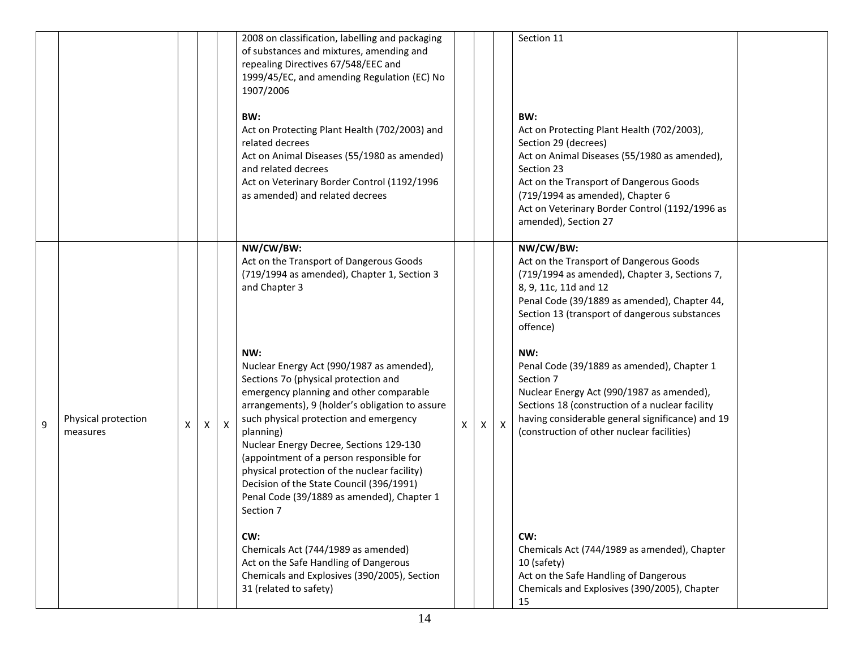|   |                                 |    |   |              | 2008 on classification, labelling and packaging<br>of substances and mixtures, amending and<br>repealing Directives 67/548/EEC and<br>1999/45/EC, and amending Regulation (EC) No<br>1907/2006<br>BW:<br>Act on Protecting Plant Health (702/2003) and<br>related decrees<br>Act on Animal Diseases (55/1980 as amended)<br>and related decrees<br>Act on Veterinary Border Control (1192/1996<br>as amended) and related decrees                                                           |   |   |              | Section 11<br>BW:<br>Act on Protecting Plant Health (702/2003),<br>Section 29 (decrees)<br>Act on Animal Diseases (55/1980 as amended),<br>Section 23<br>Act on the Transport of Dangerous Goods<br>(719/1994 as amended), Chapter 6<br>Act on Veterinary Border Control (1192/1996 as<br>amended), Section 27 |  |
|---|---------------------------------|----|---|--------------|---------------------------------------------------------------------------------------------------------------------------------------------------------------------------------------------------------------------------------------------------------------------------------------------------------------------------------------------------------------------------------------------------------------------------------------------------------------------------------------------|---|---|--------------|----------------------------------------------------------------------------------------------------------------------------------------------------------------------------------------------------------------------------------------------------------------------------------------------------------------|--|
|   |                                 |    |   |              | NW/CW/BW:<br>Act on the Transport of Dangerous Goods<br>(719/1994 as amended), Chapter 1, Section 3<br>and Chapter 3                                                                                                                                                                                                                                                                                                                                                                        |   |   |              | NW/CW/BW:<br>Act on the Transport of Dangerous Goods<br>(719/1994 as amended), Chapter 3, Sections 7,<br>8, 9, 11c, 11d and 12<br>Penal Code (39/1889 as amended), Chapter 44,<br>Section 13 (transport of dangerous substances<br>offence)                                                                    |  |
| 9 | Physical protection<br>measures | X. | X | $\mathsf{X}$ | NW:<br>Nuclear Energy Act (990/1987 as amended),<br>Sections 7o (physical protection and<br>emergency planning and other comparable<br>arrangements), 9 (holder's obligation to assure<br>such physical protection and emergency<br>planning)<br>Nuclear Energy Decree, Sections 129-130<br>(appointment of a person responsible for<br>physical protection of the nuclear facility)<br>Decision of the State Council (396/1991)<br>Penal Code (39/1889 as amended), Chapter 1<br>Section 7 | X | X | $\mathsf{X}$ | NW:<br>Penal Code (39/1889 as amended), Chapter 1<br>Section 7<br>Nuclear Energy Act (990/1987 as amended),<br>Sections 18 (construction of a nuclear facility<br>having considerable general significance) and 19<br>(construction of other nuclear facilities)                                               |  |
|   |                                 |    |   |              | CW:<br>Chemicals Act (744/1989 as amended)<br>Act on the Safe Handling of Dangerous<br>Chemicals and Explosives (390/2005), Section<br>31 (related to safety)                                                                                                                                                                                                                                                                                                                               |   |   |              | CW:<br>Chemicals Act (744/1989 as amended), Chapter<br>10 (safety)<br>Act on the Safe Handling of Dangerous<br>Chemicals and Explosives (390/2005), Chapter<br>15                                                                                                                                              |  |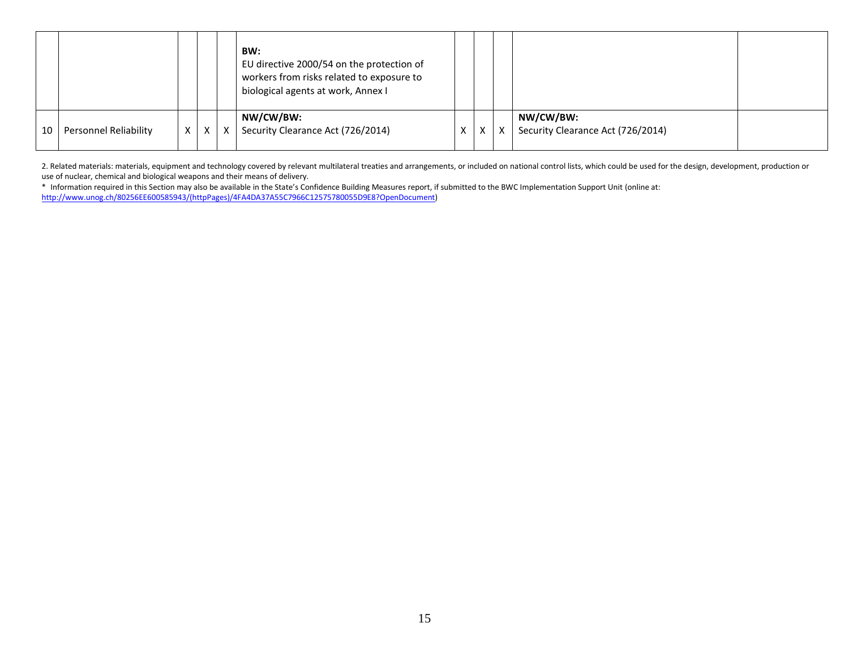|    |                       |          |          | BW:<br>EU directive 2000/54 on the protection of<br>workers from risks related to exposure to<br>biological agents at work, Annex I |   |   |                                   |  |
|----|-----------------------|----------|----------|-------------------------------------------------------------------------------------------------------------------------------------|---|---|-----------------------------------|--|
|    |                       |          |          | NW/CW/BW:                                                                                                                           |   |   | NW/CW/BW:                         |  |
| 10 | Personnel Reliability | $\times$ | $\times$ | X   Security Clearance Act (726/2014)                                                                                               | X | X | Security Clearance Act (726/2014) |  |
|    |                       |          |          |                                                                                                                                     |   |   |                                   |  |

2. Related materials: materials, equipment and technology covered by relevant multilateral treaties and arrangements, or included on national control lists, which could be used for the design, development, production or use of nuclear, chemical and biological weapons and their means of delivery.

\* Information required in this Section may also be available in the State's Confidence Building Measures report, if submitted to the BWC Implementation Support Unit (online at: [http://www.unog.ch/80256EE600585943/\(httpPages\)/4FA4DA37A55C7966C12575780055D9E8?OpenDocument\)](http://www.unog.ch/80256EE600585943/(httpPages)/4FA4DA37A55C7966C12575780055D9E8?OpenDocument)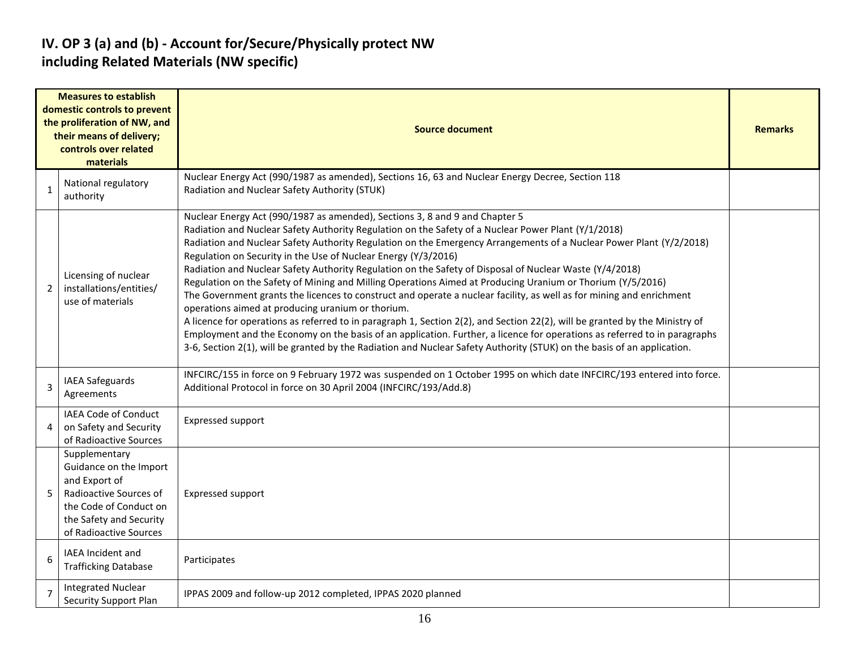## **IV. OP 3 (a) and (b) - Account for/Secure/Physically protect NW including Related Materials (NW specific)**

|                | <b>Measures to establish</b><br>domestic controls to prevent<br>the proliferation of NW, and<br>their means of delivery;<br>controls over related<br>materials    | <b>Source document</b>                                                                                                                                                                                                                                                                                                                                                                                                                                                                                                                                                                                                                                                                                                                                                                                                                                                                                                                                                                                                                                                                                                                                                   |  |  |  |  |  |  |  |
|----------------|-------------------------------------------------------------------------------------------------------------------------------------------------------------------|--------------------------------------------------------------------------------------------------------------------------------------------------------------------------------------------------------------------------------------------------------------------------------------------------------------------------------------------------------------------------------------------------------------------------------------------------------------------------------------------------------------------------------------------------------------------------------------------------------------------------------------------------------------------------------------------------------------------------------------------------------------------------------------------------------------------------------------------------------------------------------------------------------------------------------------------------------------------------------------------------------------------------------------------------------------------------------------------------------------------------------------------------------------------------|--|--|--|--|--|--|--|
| 1              | National regulatory<br>authority                                                                                                                                  | Nuclear Energy Act (990/1987 as amended), Sections 16, 63 and Nuclear Energy Decree, Section 118<br>Radiation and Nuclear Safety Authority (STUK)                                                                                                                                                                                                                                                                                                                                                                                                                                                                                                                                                                                                                                                                                                                                                                                                                                                                                                                                                                                                                        |  |  |  |  |  |  |  |
| $\overline{2}$ | Licensing of nuclear<br>installations/entities/<br>use of materials                                                                                               | Nuclear Energy Act (990/1987 as amended), Sections 3, 8 and 9 and Chapter 5<br>Radiation and Nuclear Safety Authority Regulation on the Safety of a Nuclear Power Plant (Y/1/2018)<br>Radiation and Nuclear Safety Authority Regulation on the Emergency Arrangements of a Nuclear Power Plant (Y/2/2018)<br>Regulation on Security in the Use of Nuclear Energy (Y/3/2016)<br>Radiation and Nuclear Safety Authority Regulation on the Safety of Disposal of Nuclear Waste (Y/4/2018)<br>Regulation on the Safety of Mining and Milling Operations Aimed at Producing Uranium or Thorium (Y/5/2016)<br>The Government grants the licences to construct and operate a nuclear facility, as well as for mining and enrichment<br>operations aimed at producing uranium or thorium.<br>A licence for operations as referred to in paragraph 1, Section 2(2), and Section 22(2), will be granted by the Ministry of<br>Employment and the Economy on the basis of an application. Further, a licence for operations as referred to in paragraphs<br>3-6, Section 2(1), will be granted by the Radiation and Nuclear Safety Authority (STUK) on the basis of an application. |  |  |  |  |  |  |  |
| 3              | <b>IAEA Safeguards</b><br>Agreements                                                                                                                              | INFCIRC/155 in force on 9 February 1972 was suspended on 1 October 1995 on which date INFCIRC/193 entered into force.<br>Additional Protocol in force on 30 April 2004 (INFCIRC/193/Add.8)                                                                                                                                                                                                                                                                                                                                                                                                                                                                                                                                                                                                                                                                                                                                                                                                                                                                                                                                                                               |  |  |  |  |  |  |  |
| 4              | IAEA Code of Conduct<br>on Safety and Security<br>of Radioactive Sources                                                                                          | <b>Expressed support</b>                                                                                                                                                                                                                                                                                                                                                                                                                                                                                                                                                                                                                                                                                                                                                                                                                                                                                                                                                                                                                                                                                                                                                 |  |  |  |  |  |  |  |
| 5              | Supplementary<br>Guidance on the Import<br>and Export of<br>Radioactive Sources of<br>the Code of Conduct on<br>the Safety and Security<br>of Radioactive Sources | <b>Expressed support</b>                                                                                                                                                                                                                                                                                                                                                                                                                                                                                                                                                                                                                                                                                                                                                                                                                                                                                                                                                                                                                                                                                                                                                 |  |  |  |  |  |  |  |
| 6              | IAEA Incident and<br><b>Trafficking Database</b>                                                                                                                  | Participates                                                                                                                                                                                                                                                                                                                                                                                                                                                                                                                                                                                                                                                                                                                                                                                                                                                                                                                                                                                                                                                                                                                                                             |  |  |  |  |  |  |  |
| $\overline{7}$ | <b>Integrated Nuclear</b><br><b>Security Support Plan</b>                                                                                                         | IPPAS 2009 and follow-up 2012 completed, IPPAS 2020 planned                                                                                                                                                                                                                                                                                                                                                                                                                                                                                                                                                                                                                                                                                                                                                                                                                                                                                                                                                                                                                                                                                                              |  |  |  |  |  |  |  |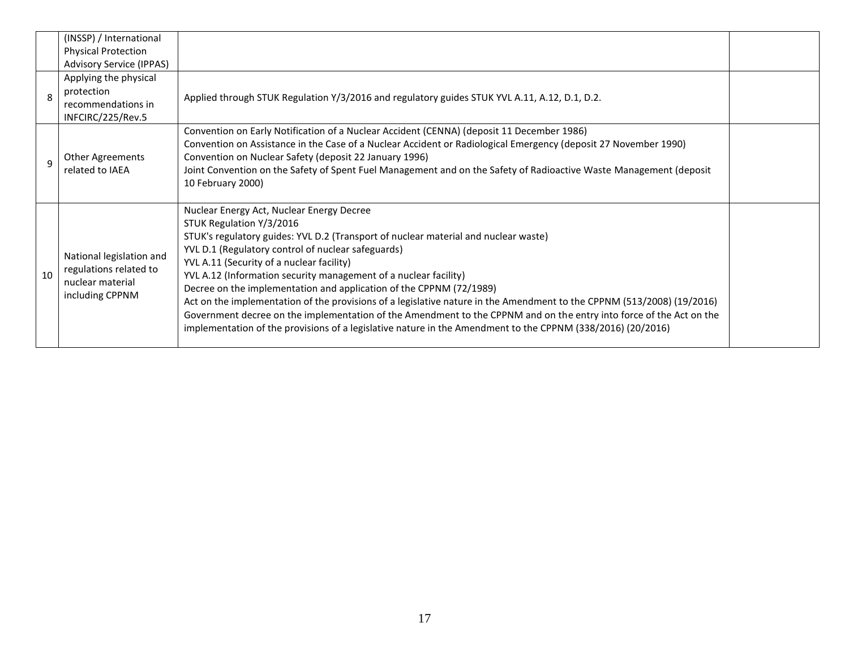|    | (INSSP) / International<br><b>Physical Protection</b><br><b>Advisory Service (IPPAS)</b>  |                                                                                                                                                                                                                                                                                                                                                                                                                                                                                                                                                                                                                                                                                                                                                                            |  |
|----|-------------------------------------------------------------------------------------------|----------------------------------------------------------------------------------------------------------------------------------------------------------------------------------------------------------------------------------------------------------------------------------------------------------------------------------------------------------------------------------------------------------------------------------------------------------------------------------------------------------------------------------------------------------------------------------------------------------------------------------------------------------------------------------------------------------------------------------------------------------------------------|--|
| 8  | Applying the physical<br>protection<br>recommendations in<br>INFCIRC/225/Rev.5            | Applied through STUK Regulation Y/3/2016 and regulatory guides STUK YVL A.11, A.12, D.1, D.2.                                                                                                                                                                                                                                                                                                                                                                                                                                                                                                                                                                                                                                                                              |  |
| q  | Other Agreements<br>related to IAEA                                                       | Convention on Early Notification of a Nuclear Accident (CENNA) (deposit 11 December 1986)<br>Convention on Assistance in the Case of a Nuclear Accident or Radiological Emergency (deposit 27 November 1990)<br>Convention on Nuclear Safety (deposit 22 January 1996)<br>Joint Convention on the Safety of Spent Fuel Management and on the Safety of Radioactive Waste Management (deposit<br>10 February 2000)                                                                                                                                                                                                                                                                                                                                                          |  |
| 10 | National legislation and<br>regulations related to<br>nuclear material<br>including CPPNM | Nuclear Energy Act, Nuclear Energy Decree<br>STUK Regulation Y/3/2016<br>STUK's regulatory guides: YVL D.2 (Transport of nuclear material and nuclear waste)<br>YVL D.1 (Regulatory control of nuclear safeguards)<br>YVL A.11 (Security of a nuclear facility)<br>YVL A.12 (Information security management of a nuclear facility)<br>Decree on the implementation and application of the CPPNM (72/1989)<br>Act on the implementation of the provisions of a legislative nature in the Amendment to the CPPNM (513/2008) (19/2016)<br>Government decree on the implementation of the Amendment to the CPPNM and on the entry into force of the Act on the<br>implementation of the provisions of a legislative nature in the Amendment to the CPPNM (338/2016) (20/2016) |  |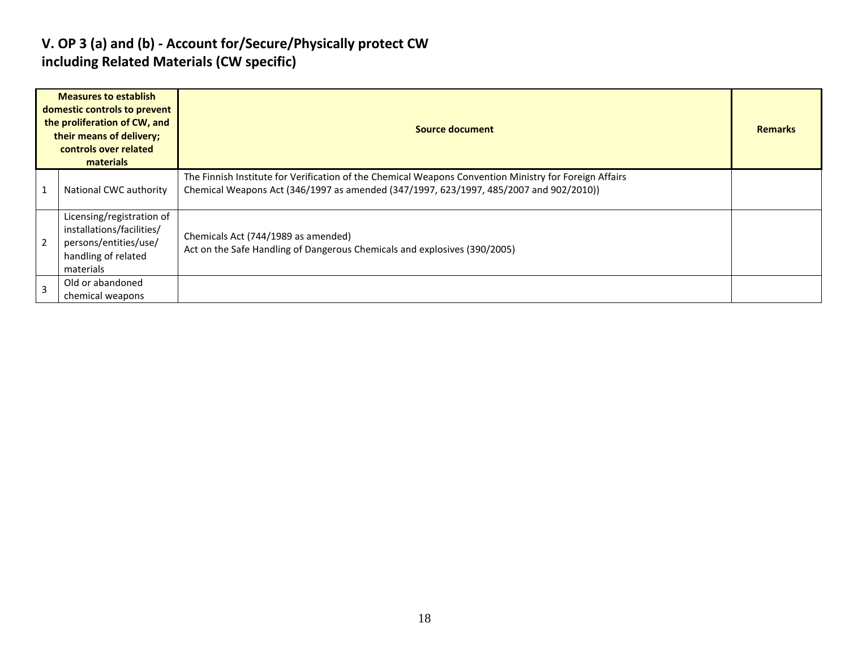## **V. OP 3 (a) and (b) - Account for/Secure/Physically protect CW including Related Materials (CW specific)**

|                | <b>Measures to establish</b><br>domestic controls to prevent<br>the proliferation of CW, and<br>their means of delivery;<br>controls over related<br>materials | Source document                                                                                                                                                                                  | <b>Remarks</b> |
|----------------|----------------------------------------------------------------------------------------------------------------------------------------------------------------|--------------------------------------------------------------------------------------------------------------------------------------------------------------------------------------------------|----------------|
|                | National CWC authority                                                                                                                                         | The Finnish Institute for Verification of the Chemical Weapons Convention Ministry for Foreign Affairs<br>Chemical Weapons Act (346/1997 as amended (347/1997, 623/1997, 485/2007 and 902/2010)) |                |
|                | Licensing/registration of<br>installations/facilities/<br>persons/entities/use/<br>handling of related<br>materials                                            | Chemicals Act (744/1989 as amended)<br>Act on the Safe Handling of Dangerous Chemicals and explosives (390/2005)                                                                                 |                |
| $\overline{3}$ | Old or abandoned<br>chemical weapons                                                                                                                           |                                                                                                                                                                                                  |                |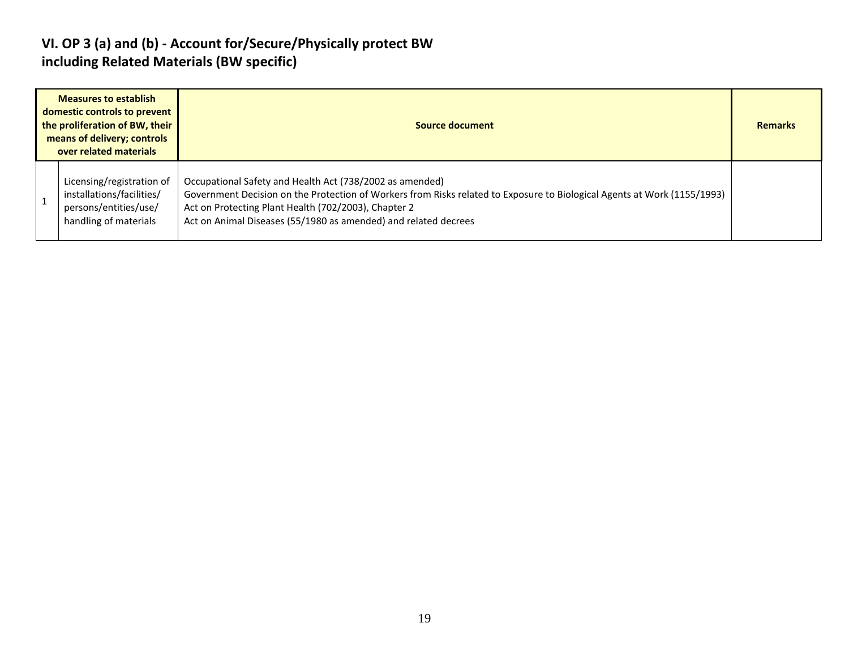## **VI. OP 3 (a) and (b) - Account for/Secure/Physically protect BW including Related Materials (BW specific)**

| <b>Measures to establish</b><br>domestic controls to prevent<br>the proliferation of BW, their<br>means of delivery; controls<br>over related materials |                                                                                                          | Source document                                                                                                                                                                                                                                                                                                 |  |  |  |  |  |  |
|---------------------------------------------------------------------------------------------------------------------------------------------------------|----------------------------------------------------------------------------------------------------------|-----------------------------------------------------------------------------------------------------------------------------------------------------------------------------------------------------------------------------------------------------------------------------------------------------------------|--|--|--|--|--|--|
|                                                                                                                                                         | Licensing/registration of<br>installations/facilities/<br>persons/entities/use/<br>handling of materials | Occupational Safety and Health Act (738/2002 as amended)<br>Government Decision on the Protection of Workers from Risks related to Exposure to Biological Agents at Work (1155/1993)<br>Act on Protecting Plant Health (702/2003), Chapter 2<br>Act on Animal Diseases (55/1980 as amended) and related decrees |  |  |  |  |  |  |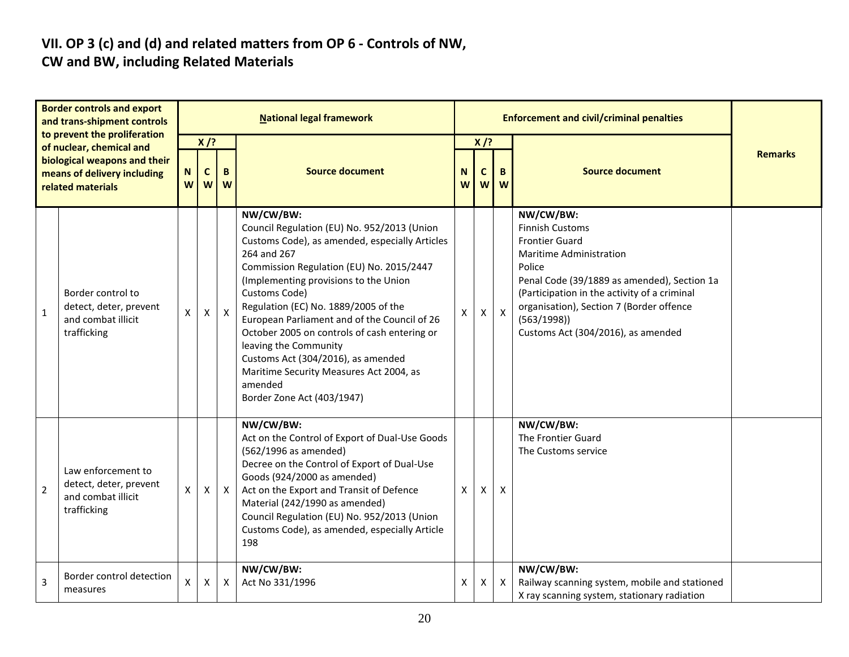#### **VII. OP 3 (c) and (d) and related matters from OP 6 - Controls of NW, CW and BW, including Related Materials**

|                | <b>Border controls and export</b><br>and trans-shipment controls<br>to prevent the proliferation |              |                   |              | <b>National legal framework</b>                                                                                                                                                                                                                                                                                                                                                                                                                                                                                            |        |                  |                           | <b>Enforcement and civil/criminal penalties</b>                                                                                                                                                                                                                                                  |                |
|----------------|--------------------------------------------------------------------------------------------------|--------------|-------------------|--------------|----------------------------------------------------------------------------------------------------------------------------------------------------------------------------------------------------------------------------------------------------------------------------------------------------------------------------------------------------------------------------------------------------------------------------------------------------------------------------------------------------------------------------|--------|------------------|---------------------------|--------------------------------------------------------------------------------------------------------------------------------------------------------------------------------------------------------------------------------------------------------------------------------------------------|----------------|
|                | of nuclear, chemical and                                                                         |              | $X$ /?            |              |                                                                                                                                                                                                                                                                                                                                                                                                                                                                                                                            | $X$ /? |                  |                           |                                                                                                                                                                                                                                                                                                  |                |
|                | biological weapons and their<br>means of delivery including<br>related materials                 | N<br>W       | $\mathbf{C}$<br>W | B<br>W       | <b>Source document</b><br>N<br>W                                                                                                                                                                                                                                                                                                                                                                                                                                                                                           |        | $\mathbf c$<br>W | B.<br>W                   | <b>Source document</b>                                                                                                                                                                                                                                                                           | <b>Remarks</b> |
| $\overline{1}$ | Border control to<br>detect, deter, prevent<br>and combat illicit<br>trafficking                 | $\mathsf{x}$ | $\mathsf{x}$      | $\mathsf{X}$ | NW/CW/BW:<br>Council Regulation (EU) No. 952/2013 (Union<br>Customs Code), as amended, especially Articles<br>264 and 267<br>Commission Regulation (EU) No. 2015/2447<br>(Implementing provisions to the Union<br>Customs Code)<br>Regulation (EC) No. 1889/2005 of the<br>European Parliament and of the Council of 26<br>October 2005 on controls of cash entering or<br>leaving the Community<br>Customs Act (304/2016), as amended<br>Maritime Security Measures Act 2004, as<br>amended<br>Border Zone Act (403/1947) | X      | X                | $\mathsf{X}$              | NW/CW/BW:<br><b>Finnish Customs</b><br><b>Frontier Guard</b><br>Maritime Administration<br>Police<br>Penal Code (39/1889 as amended), Section 1a<br>(Participation in the activity of a criminal<br>organisation), Section 7 (Border offence<br>(563/1998)<br>Customs Act (304/2016), as amended |                |
| $\overline{2}$ | Law enforcement to<br>detect, deter, prevent<br>and combat illicit<br>trafficking                | X            | X                 | $\mathsf{X}$ | NW/CW/BW:<br>Act on the Control of Export of Dual-Use Goods<br>(562/1996 as amended)<br>Decree on the Control of Export of Dual-Use<br>Goods (924/2000 as amended)<br>Act on the Export and Transit of Defence<br>Material (242/1990 as amended)<br>Council Regulation (EU) No. 952/2013 (Union<br>Customs Code), as amended, especially Article<br>198                                                                                                                                                                    | X      | x                | X                         | NW/CW/BW:<br>The Frontier Guard<br>The Customs service                                                                                                                                                                                                                                           |                |
| $\overline{3}$ | Border control detection<br>measures                                                             | X            | X                 | X            | NW/CW/BW:<br>Act No 331/1996                                                                                                                                                                                                                                                                                                                                                                                                                                                                                               | X      | Χ                | $\boldsymbol{\mathsf{X}}$ | NW/CW/BW:<br>Railway scanning system, mobile and stationed<br>X ray scanning system, stationary radiation                                                                                                                                                                                        |                |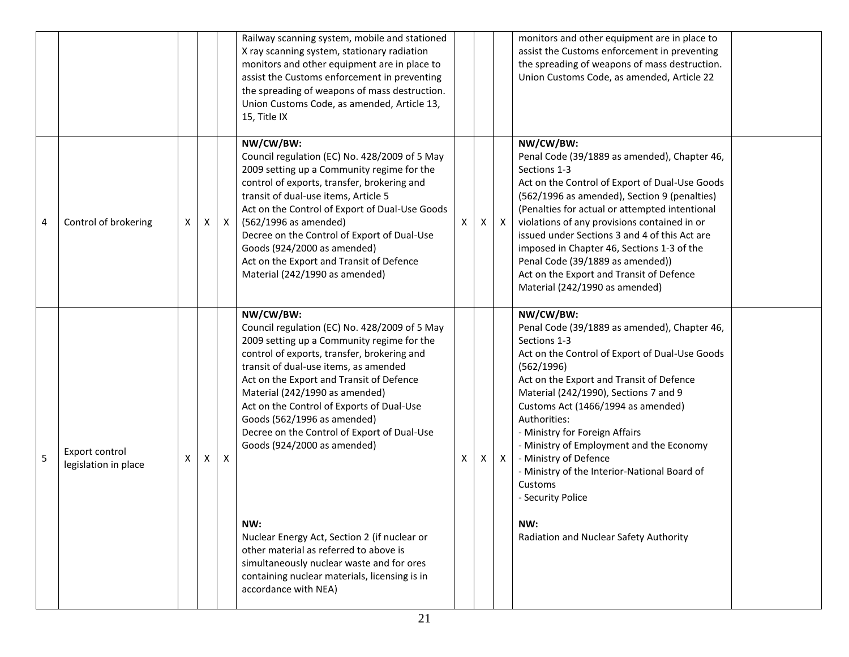|   |                                        |   |   |              | Railway scanning system, mobile and stationed<br>X ray scanning system, stationary radiation<br>monitors and other equipment are in place to<br>assist the Customs enforcement in preventing<br>the spreading of weapons of mass destruction.<br>Union Customs Code, as amended, Article 13,<br>15, Title IX                                                                                                                                                                                                                                                                                                                                                    |                           |    |              | monitors and other equipment are in place to<br>assist the Customs enforcement in preventing<br>the spreading of weapons of mass destruction.<br>Union Customs Code, as amended, Article 22                                                                                                                                                                                                                                                                                                                                  |  |
|---|----------------------------------------|---|---|--------------|-----------------------------------------------------------------------------------------------------------------------------------------------------------------------------------------------------------------------------------------------------------------------------------------------------------------------------------------------------------------------------------------------------------------------------------------------------------------------------------------------------------------------------------------------------------------------------------------------------------------------------------------------------------------|---------------------------|----|--------------|------------------------------------------------------------------------------------------------------------------------------------------------------------------------------------------------------------------------------------------------------------------------------------------------------------------------------------------------------------------------------------------------------------------------------------------------------------------------------------------------------------------------------|--|
| 4 | Control of brokering                   | X | X | $\mathsf{X}$ | NW/CW/BW:<br>Council regulation (EC) No. 428/2009 of 5 May<br>2009 setting up a Community regime for the<br>control of exports, transfer, brokering and<br>transit of dual-use items, Article 5<br>Act on the Control of Export of Dual-Use Goods<br>(562/1996 as amended)<br>Decree on the Control of Export of Dual-Use<br>Goods (924/2000 as amended)<br>Act on the Export and Transit of Defence<br>Material (242/1990 as amended)                                                                                                                                                                                                                          | $\boldsymbol{\mathsf{X}}$ | X  | $\mathsf{X}$ | NW/CW/BW:<br>Penal Code (39/1889 as amended), Chapter 46,<br>Sections 1-3<br>Act on the Control of Export of Dual-Use Goods<br>(562/1996 as amended), Section 9 (penalties)<br>(Penalties for actual or attempted intentional<br>violations of any provisions contained in or<br>issued under Sections 3 and 4 of this Act are<br>imposed in Chapter 46, Sections 1-3 of the<br>Penal Code (39/1889 as amended))<br>Act on the Export and Transit of Defence<br>Material (242/1990 as amended)                               |  |
| 5 | Export control<br>legislation in place | Х | X | X            | NW/CW/BW:<br>Council regulation (EC) No. 428/2009 of 5 May<br>2009 setting up a Community regime for the<br>control of exports, transfer, brokering and<br>transit of dual-use items, as amended<br>Act on the Export and Transit of Defence<br>Material (242/1990 as amended)<br>Act on the Control of Exports of Dual-Use<br>Goods (562/1996 as amended)<br>Decree on the Control of Export of Dual-Use<br>Goods (924/2000 as amended)<br>NW:<br>Nuclear Energy Act, Section 2 (if nuclear or<br>other material as referred to above is<br>simultaneously nuclear waste and for ores<br>containing nuclear materials, licensing is in<br>accordance with NEA) | Χ                         | X. | $\mathsf{X}$ | NW/CW/BW:<br>Penal Code (39/1889 as amended), Chapter 46,<br>Sections 1-3<br>Act on the Control of Export of Dual-Use Goods<br>(562/1996)<br>Act on the Export and Transit of Defence<br>Material (242/1990), Sections 7 and 9<br>Customs Act (1466/1994 as amended)<br>Authorities:<br>- Ministry for Foreign Affairs<br>- Ministry of Employment and the Economy<br>- Ministry of Defence<br>- Ministry of the Interior-National Board of<br>Customs<br>- Security Police<br>NW:<br>Radiation and Nuclear Safety Authority |  |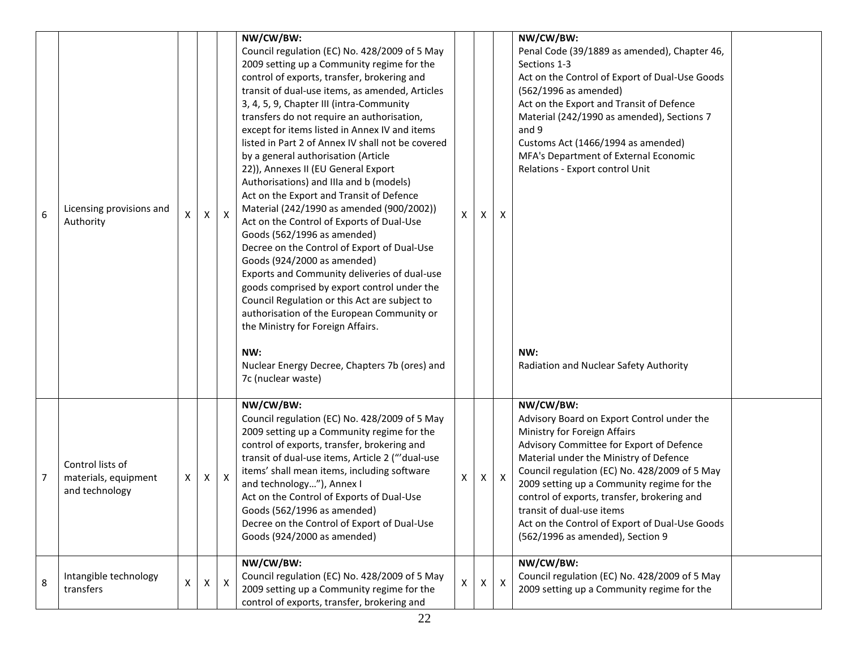| 6 | Licensing provisions and<br>Authority                      | X | X                         | $\mathsf{X}$ | NW/CW/BW:<br>Council regulation (EC) No. 428/2009 of 5 May<br>2009 setting up a Community regime for the<br>control of exports, transfer, brokering and<br>transit of dual-use items, as amended, Articles<br>3, 4, 5, 9, Chapter III (intra-Community<br>transfers do not require an authorisation,<br>except for items listed in Annex IV and items<br>listed in Part 2 of Annex IV shall not be covered<br>by a general authorisation (Article<br>22)), Annexes II (EU General Export<br>Authorisations) and IIIa and b (models)<br>Act on the Export and Transit of Defence<br>Material (242/1990 as amended (900/2002))<br>Act on the Control of Exports of Dual-Use<br>Goods (562/1996 as amended)<br>Decree on the Control of Export of Dual-Use<br>Goods (924/2000 as amended)<br>Exports and Community deliveries of dual-use<br>goods comprised by export control under the<br>Council Regulation or this Act are subject to<br>authorisation of the European Community or<br>the Ministry for Foreign Affairs.<br>NW:<br>Nuclear Energy Decree, Chapters 7b (ores) and<br>7c (nuclear waste) | X  | X              | Χ              | NW/CW/BW:<br>Penal Code (39/1889 as amended), Chapter 46,<br>Sections 1-3<br>Act on the Control of Export of Dual-Use Goods<br>(562/1996 as amended)<br>Act on the Export and Transit of Defence<br>Material (242/1990 as amended), Sections 7<br>and 9<br>Customs Act (1466/1994 as amended)<br>MFA's Department of External Economic<br>Relations - Export control Unit<br>NW:<br>Radiation and Nuclear Safety Authority                     |  |
|---|------------------------------------------------------------|---|---------------------------|--------------|---------------------------------------------------------------------------------------------------------------------------------------------------------------------------------------------------------------------------------------------------------------------------------------------------------------------------------------------------------------------------------------------------------------------------------------------------------------------------------------------------------------------------------------------------------------------------------------------------------------------------------------------------------------------------------------------------------------------------------------------------------------------------------------------------------------------------------------------------------------------------------------------------------------------------------------------------------------------------------------------------------------------------------------------------------------------------------------------------------|----|----------------|----------------|------------------------------------------------------------------------------------------------------------------------------------------------------------------------------------------------------------------------------------------------------------------------------------------------------------------------------------------------------------------------------------------------------------------------------------------------|--|
| 7 | Control lists of<br>materials, equipment<br>and technology | X | $\boldsymbol{\mathsf{X}}$ | $\mathsf{X}$ | NW/CW/BW:<br>Council regulation (EC) No. 428/2009 of 5 May<br>2009 setting up a Community regime for the<br>control of exports, transfer, brokering and<br>transit of dual-use items, Article 2 ("'dual-use<br>items' shall mean items, including software<br>and technology"), Annex I<br>Act on the Control of Exports of Dual-Use<br>Goods (562/1996 as amended)<br>Decree on the Control of Export of Dual-Use<br>Goods (924/2000 as amended)                                                                                                                                                                                                                                                                                                                                                                                                                                                                                                                                                                                                                                                       | X. | X              | $\mathsf{X}$   | NW/CW/BW:<br>Advisory Board on Export Control under the<br>Ministry for Foreign Affairs<br>Advisory Committee for Export of Defence<br>Material under the Ministry of Defence<br>Council regulation (EC) No. 428/2009 of 5 May<br>2009 setting up a Community regime for the<br>control of exports, transfer, brokering and<br>transit of dual-use items<br>Act on the Control of Export of Dual-Use Goods<br>(562/1996 as amended), Section 9 |  |
| 8 | Intangible technology<br>transfers                         | X | X                         | $\mathsf{X}$ | NW/CW/BW:<br>Council regulation (EC) No. 428/2009 of 5 May<br>2009 setting up a Community regime for the<br>control of exports, transfer, brokering and                                                                                                                                                                                                                                                                                                                                                                                                                                                                                                                                                                                                                                                                                                                                                                                                                                                                                                                                                 | Χ  | $\mathsf{X}^-$ | $\pmb{\times}$ | NW/CW/BW:<br>Council regulation (EC) No. 428/2009 of 5 May<br>2009 setting up a Community regime for the                                                                                                                                                                                                                                                                                                                                       |  |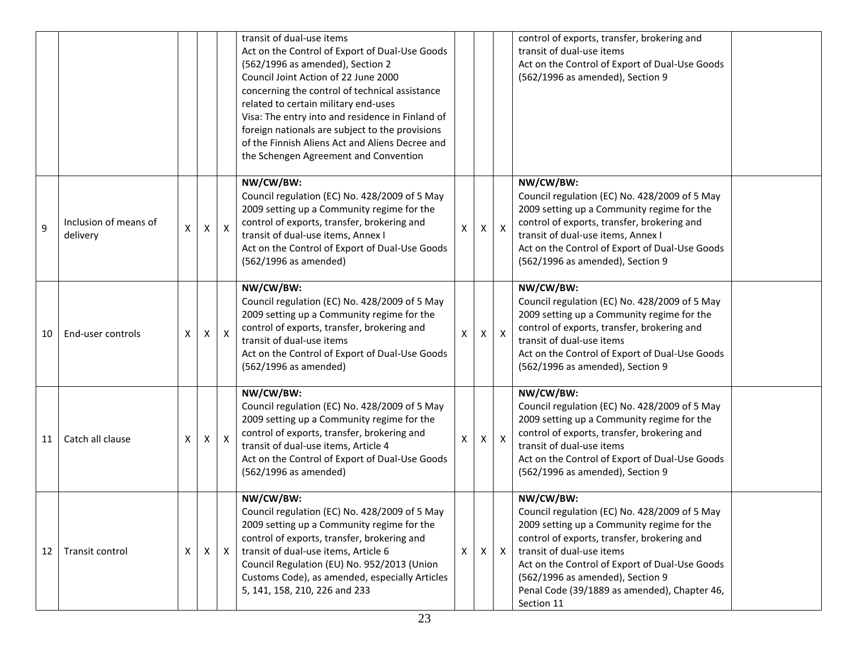|    |                                   |   |              |              | transit of dual-use items<br>Act on the Control of Export of Dual-Use Goods<br>(562/1996 as amended), Section 2<br>Council Joint Action of 22 June 2000<br>concerning the control of technical assistance<br>related to certain military end-uses<br>Visa: The entry into and residence in Finland of<br>foreign nationals are subject to the provisions<br>of the Finnish Aliens Act and Aliens Decree and<br>the Schengen Agreement and Convention |   |              |                           | control of exports, transfer, brokering and<br>transit of dual-use items<br>Act on the Control of Export of Dual-Use Goods<br>(562/1996 as amended), Section 9                                                                                                                                                                           |
|----|-----------------------------------|---|--------------|--------------|------------------------------------------------------------------------------------------------------------------------------------------------------------------------------------------------------------------------------------------------------------------------------------------------------------------------------------------------------------------------------------------------------------------------------------------------------|---|--------------|---------------------------|------------------------------------------------------------------------------------------------------------------------------------------------------------------------------------------------------------------------------------------------------------------------------------------------------------------------------------------|
| 9  | Inclusion of means of<br>delivery | X | X            | $\mathsf{X}$ | NW/CW/BW:<br>Council regulation (EC) No. 428/2009 of 5 May<br>2009 setting up a Community regime for the<br>control of exports, transfer, brokering and<br>transit of dual-use items, Annex I<br>Act on the Control of Export of Dual-Use Goods<br>(562/1996 as amended)                                                                                                                                                                             | X | X            | $\boldsymbol{\mathsf{X}}$ | NW/CW/BW:<br>Council regulation (EC) No. 428/2009 of 5 May<br>2009 setting up a Community regime for the<br>control of exports, transfer, brokering and<br>transit of dual-use items, Annex I<br>Act on the Control of Export of Dual-Use Goods<br>(562/1996 as amended), Section 9                                                      |
| 10 | End-user controls                 | X | $\mathsf{X}$ | $\mathsf{X}$ | NW/CW/BW:<br>Council regulation (EC) No. 428/2009 of 5 May<br>2009 setting up a Community regime for the<br>control of exports, transfer, brokering and<br>transit of dual-use items<br>Act on the Control of Export of Dual-Use Goods<br>(562/1996 as amended)                                                                                                                                                                                      | X | $\mathsf{X}$ | $\boldsymbol{\mathsf{X}}$ | NW/CW/BW:<br>Council regulation (EC) No. 428/2009 of 5 May<br>2009 setting up a Community regime for the<br>control of exports, transfer, brokering and<br>transit of dual-use items<br>Act on the Control of Export of Dual-Use Goods<br>(562/1996 as amended), Section 9                                                               |
| 11 | Catch all clause                  | X | X            | $\mathsf{X}$ | NW/CW/BW:<br>Council regulation (EC) No. 428/2009 of 5 May<br>2009 setting up a Community regime for the<br>control of exports, transfer, brokering and<br>transit of dual-use items, Article 4<br>Act on the Control of Export of Dual-Use Goods<br>(562/1996 as amended)                                                                                                                                                                           | X | X            | $\boldsymbol{\mathsf{X}}$ | NW/CW/BW:<br>Council regulation (EC) No. 428/2009 of 5 May<br>2009 setting up a Community regime for the<br>control of exports, transfer, brokering and<br>transit of dual-use items<br>Act on the Control of Export of Dual-Use Goods<br>(562/1996 as amended), Section 9                                                               |
| 12 | Transit control                   | X | X            | $\mathsf{X}$ | NW/CW/BW:<br>Council regulation (EC) No. 428/2009 of 5 May<br>2009 setting up a Community regime for the<br>control of exports, transfer, brokering and<br>transit of dual-use items, Article 6<br>Council Regulation (EU) No. 952/2013 (Union<br>Customs Code), as amended, especially Articles<br>5, 141, 158, 210, 226 and 233                                                                                                                    | Χ | X            | $\mathsf{X}$              | NW/CW/BW:<br>Council regulation (EC) No. 428/2009 of 5 May<br>2009 setting up a Community regime for the<br>control of exports, transfer, brokering and<br>transit of dual-use items<br>Act on the Control of Export of Dual-Use Goods<br>(562/1996 as amended), Section 9<br>Penal Code (39/1889 as amended), Chapter 46,<br>Section 11 |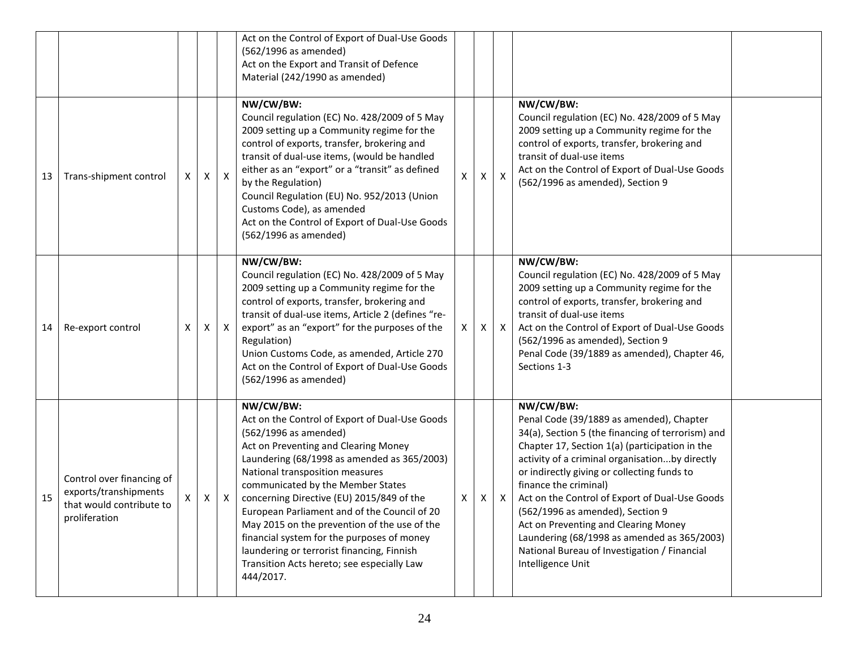|    |                                                                                                 |   |              |                           | Act on the Control of Export of Dual-Use Goods<br>(562/1996 as amended)<br>Act on the Export and Transit of Defence<br>Material (242/1990 as amended)                                                                                                                                                                                                                                                                                                                                                                                                   |   |   |              |                                                                                                                                                                                                                                                                                                                                                                                                                                                                                                                                          |
|----|-------------------------------------------------------------------------------------------------|---|--------------|---------------------------|---------------------------------------------------------------------------------------------------------------------------------------------------------------------------------------------------------------------------------------------------------------------------------------------------------------------------------------------------------------------------------------------------------------------------------------------------------------------------------------------------------------------------------------------------------|---|---|--------------|------------------------------------------------------------------------------------------------------------------------------------------------------------------------------------------------------------------------------------------------------------------------------------------------------------------------------------------------------------------------------------------------------------------------------------------------------------------------------------------------------------------------------------------|
| 13 | Trans-shipment control                                                                          | X | $\mathsf{X}$ | $\mathsf{X}$              | NW/CW/BW:<br>Council regulation (EC) No. 428/2009 of 5 May<br>2009 setting up a Community regime for the<br>control of exports, transfer, brokering and<br>transit of dual-use items, (would be handled<br>either as an "export" or a "transit" as defined<br>by the Regulation)<br>Council Regulation (EU) No. 952/2013 (Union<br>Customs Code), as amended<br>Act on the Control of Export of Dual-Use Goods<br>(562/1996 as amended)                                                                                                                 | X | X | $\mathsf{X}$ | NW/CW/BW:<br>Council regulation (EC) No. 428/2009 of 5 May<br>2009 setting up a Community regime for the<br>control of exports, transfer, brokering and<br>transit of dual-use items<br>Act on the Control of Export of Dual-Use Goods<br>(562/1996 as amended), Section 9                                                                                                                                                                                                                                                               |
| 14 | Re-export control                                                                               | X | X            | $\mathsf{X}$              | NW/CW/BW:<br>Council regulation (EC) No. 428/2009 of 5 May<br>2009 setting up a Community regime for the<br>control of exports, transfer, brokering and<br>transit of dual-use items, Article 2 (defines "re-<br>export" as an "export" for the purposes of the<br>Regulation)<br>Union Customs Code, as amended, Article 270<br>Act on the Control of Export of Dual-Use Goods<br>(562/1996 as amended)                                                                                                                                                | X | X | $\mathsf{X}$ | NW/CW/BW:<br>Council regulation (EC) No. 428/2009 of 5 May<br>2009 setting up a Community regime for the<br>control of exports, transfer, brokering and<br>transit of dual-use items<br>Act on the Control of Export of Dual-Use Goods<br>(562/1996 as amended), Section 9<br>Penal Code (39/1889 as amended), Chapter 46,<br>Sections 1-3                                                                                                                                                                                               |
| 15 | Control over financing of<br>exports/transhipments<br>that would contribute to<br>proliferation | X | X            | $\boldsymbol{\mathsf{X}}$ | NW/CW/BW:<br>Act on the Control of Export of Dual-Use Goods<br>(562/1996 as amended)<br>Act on Preventing and Clearing Money<br>Laundering (68/1998 as amended as 365/2003)<br>National transposition measures<br>communicated by the Member States<br>concerning Directive (EU) 2015/849 of the<br>European Parliament and of the Council of 20<br>May 2015 on the prevention of the use of the<br>financial system for the purposes of money<br>laundering or terrorist financing, Finnish<br>Transition Acts hereto; see especially Law<br>444/2017. | X | X | $\mathsf{X}$ | NW/CW/BW:<br>Penal Code (39/1889 as amended), Chapter<br>34(a), Section 5 (the financing of terrorism) and<br>Chapter 17, Section 1(a) (participation in the<br>activity of a criminal organisationby directly<br>or indirectly giving or collecting funds to<br>finance the criminal)<br>Act on the Control of Export of Dual-Use Goods<br>(562/1996 as amended), Section 9<br>Act on Preventing and Clearing Money<br>Laundering (68/1998 as amended as 365/2003)<br>National Bureau of Investigation / Financial<br>Intelligence Unit |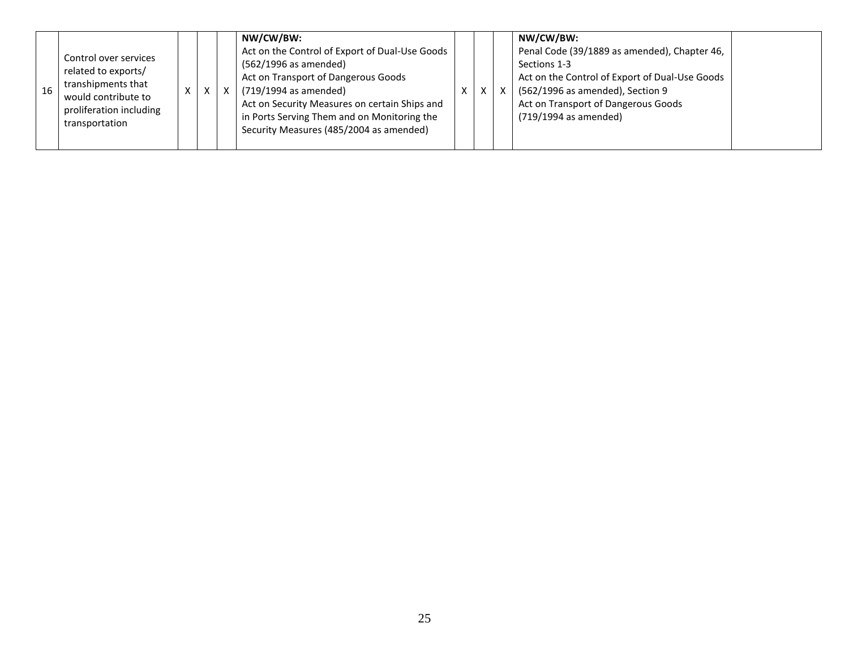| 16 | Control over services<br>related to exports/<br>transhipments that<br>would contribute to<br>proliferation including<br>transportation | $\lambda$ | X | X | NW/CW/BW:<br>Act on the Control of Export of Dual-Use Goods<br>(562/1996 as amended)<br>Act on Transport of Dangerous Goods<br>(719/1994 as amended)<br>Act on Security Measures on certain Ships and<br>in Ports Serving Them and on Monitoring the<br>Security Measures (485/2004 as amended) | х |  |  | NW/CW/BW:<br>Penal Code (39/1889 as amended), Chapter 46,<br>Sections 1-3<br>Act on the Control of Export of Dual-Use Goods<br>(562/1996 as amended), Section 9<br>Act on Transport of Dangerous Goods<br>(719/1994 as amended) |  |
|----|----------------------------------------------------------------------------------------------------------------------------------------|-----------|---|---|-------------------------------------------------------------------------------------------------------------------------------------------------------------------------------------------------------------------------------------------------------------------------------------------------|---|--|--|---------------------------------------------------------------------------------------------------------------------------------------------------------------------------------------------------------------------------------|--|
|----|----------------------------------------------------------------------------------------------------------------------------------------|-----------|---|---|-------------------------------------------------------------------------------------------------------------------------------------------------------------------------------------------------------------------------------------------------------------------------------------------------|---|--|--|---------------------------------------------------------------------------------------------------------------------------------------------------------------------------------------------------------------------------------|--|